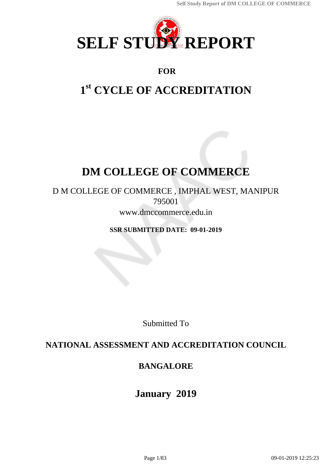

# **FOR**

# **1 st CYCLE OF ACCREDITATION**

# **DM COLLEGE OF COMMERCE**

# D M COLLEGE OF COMMERCE , IMPHAL WEST, MANIPUR 795001 www.dmccommerce.edu.in

**SSR SUBMITTED DATE: 09-01-2019**

Submitted To

# **NATIONAL ASSESSMENT AND ACCREDITATION COUNCIL**

# **BANGALORE**

# **January 2019**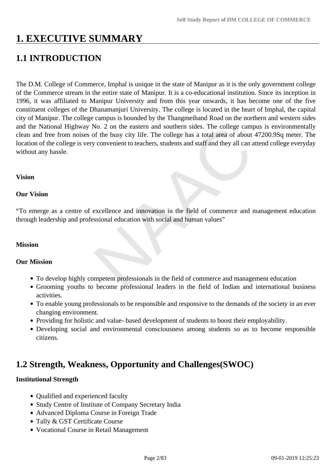# **1. EXECUTIVE SUMMARY**

# **1.1 INTRODUCTION**

The D.M. College of Commerce, Imphal is unique in the state of Manipur as it is the only government college of the Commerce stream in the entire state of Manipur. It is a co-educational institution. Since its inception in 1996, it was affiliated to Manipur University and from this year onwards, it has become one of the five constituent colleges of the Dhanamanjuri University. The college is located in the heart of Imphal, the capital city of Manipur. The college campus is bounded by the Thangmeiband Road on the northern and western sides and the National Highway No. 2 on the eastern and southern sides. The college campus is environmentally clean and free from noises of the busy city life. The college has a total area of about 47200.9Sq meter. The location of the college is very convenient to teachers, students and staff and they all can attend college everyday without any hassle.

### **Vision**

### **Our Vision**

"To emerge as a centre of excellence and innovation in the field of commerce and management education through leadership and professional education with social and human values"

#### **Mission**

#### **Our Mission**

- To develop highly competent professionals in the field of commerce and management education
- Grooming youths to become professional leaders in the field of Indian and international business activities.
- To enable young professionals to be responsible and responsive to the demands of the society in an ever changing environment.
- Providing for holistic and value- based development of students to boost their employability.
- Developing social and environmental consciousness among students so as to become responsible citizens.

# **1.2 Strength, Weakness, Opportunity and Challenges(SWOC)**

#### **Institutional Strength**

- Qualified and experienced faculty
- Study Centre of Institute of Company Secretary India
- Advanced Diploma Course in Foreign Trade
- Tally & GST Certificate Course
- Vocational Course in Retail Management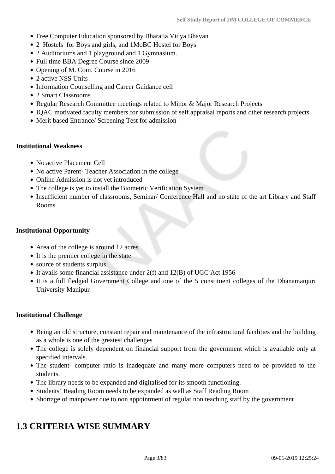- Free Computer Education sponsored by Bharatia Vidya Bhavan
- 2 Hostels for Boys and girls, and 1MoBC Hostel for Boys
- 2 Auditoriums and 1 playground and 1 Gymnasium.
- Full time BBA Degree Course since 2009
- Opening of M. Com. Course in 2016
- 2 active NSS Units
- Information Counselling and Career Guidance cell
- 2 Smart Classrooms
- Regular Research Committee meetings related to Minor & Major Research Projects
- IQAC motivated faculty members for submission of self appraisal reports and other research projects
- Merit based Entrance/ Screening Test for admission

#### **Institutional Weakness**

- No active Placement Cell
- No active Parent- Teacher Association in the college
- Online Admission is not yet introduced
- The college is yet to install the Biometric Verification System
- Insufficient number of classrooms, Seminar/ Conference Hall and no state of the art Library and Staff Rooms

#### **Institutional Opportunity**

- Area of the college is around 12 acres
- It is the premier college in the state
- source of students surplus
- $\bullet$  It avails some financial assistance under 2(f) and 12(B) of UGC Act 1956
- It is a full fledged Government College and one of the 5 constituent colleges of the Dhanamanjuri University Manipur

#### **Institutional Challenge**

- Being an old structure, constant repair and maintenance of the infrastructural facilities and the building as a whole is one of the greatest challenges
- The college is solely dependent on financial support from the government which is available only at specified intervals.
- The student- computer ratio is inadequate and many more computers need to be provided to the students.
- The library needs to be expanded and digitalised for its smooth functioning.
- Students' Reading Room needs to be expanded as well as Staff Reading Room
- Shortage of manpower due to non appointment of regular non teaching staff by the government

# **1.3 CRITERIA WISE SUMMARY**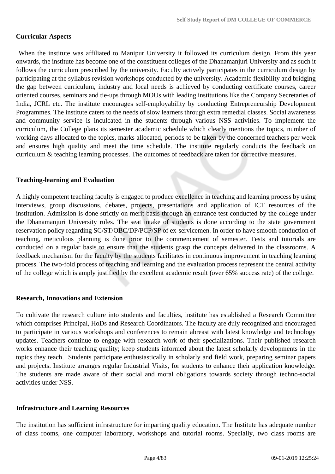### **Curricular Aspects**

 When the institute was affiliated to Manipur University it followed its curriculum design. From this year onwards, the institute has become one of the constituent colleges of the Dhanamanjuri University and as such it follows the curriculum prescribed by the university. Faculty actively participates in the curriculum design by participating at the syllabus revision workshops conducted by the university. Academic flexibility and bridging the gap between curriculum, industry and local needs is achieved by conducting certificate courses, career oriented courses, seminars and tie-ups through MOUs with leading institutions like the Company Secretaries of India, JCRL etc. The institute encourages self-employability by conducting Entrepreneurship Development Programmes. The institute caters to the needs of slow learners through extra remedial classes. Social awareness and community service is inculcated in the students through various NSS activities. To implement the curriculum, the College plans its semester academic schedule which clearly mentions the topics, number of working days allocated to the topics, marks allocated, periods to be taken by the concerned teachers per week and ensures high quality and meet the time schedule. The institute regularly conducts the feedback on curriculum & teaching learning processes. The outcomes of feedback are taken for corrective measures.

#### **Teaching-learning and Evaluation**

A highly competent teaching faculty is engaged to produce excellence in teaching and learning process by using interviews, group discussions, debates, projects, presentations and application of ICT resources of the institution. Admission is done strictly on merit basis through an entrance test conducted by the college under the Dhanamanjuri University rules. The seat intake of students is done according to the state government reservation policy regarding SC/ST/OBC/DP/PCP/SP of ex-servicemen. In order to have smooth conduction of teaching, meticulous planning is done prior to the commencement of semester. Tests and tutorials are conducted on a regular basis to ensure that the students grasp the concepts delivered in the classrooms. A feedback mechanism for the faculty by the students facilitates in continuous improvement in teaching learning process. The two-fold process of teaching and learning and the evaluation process represent the central activity of the college which is amply justified by the excellent academic result **(**over 65% success rate) of the college.

#### **Research, Innovations and Extension**

To cultivate the research culture into students and faculties, institute has established a Research Committee which comprises Principal, HoDs and Research Coordinators. The faculty are duly recognized and encouraged to participate in various workshops and conferences to remain abreast with latest knowledge and technology updates. Teachers continue to engage with research work of their specializations. Their published research works enhance their teaching quality; keep students informed about the latest scholarly developments in the topics they teach. Students participate enthusiastically in scholarly and field work, preparing seminar papers and projects. Institute arranges regular Industrial Visits, for students to enhance their application knowledge. The students are made aware of their social and moral obligations towards society through techno-social activities under NSS.

#### **Infrastructure and Learning Resources**

The institution has sufficient infrastructure for imparting quality education. The Institute has adequate number of class rooms, one computer laboratory, workshops and tutorial rooms. Specially, two class rooms are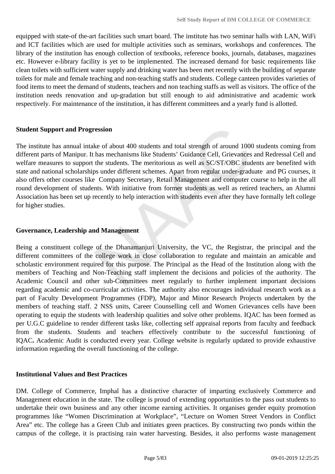equipped with state-of the-art facilities such smart board. The institute has two seminar halls with LAN, WiFi and ICT facilities which are used for multiple activities such as seminars, workshops and conferences. The library of the institution has enough collection of textbooks, reference books, journals, databases, magazines etc. However e-library facility is yet to be implemented. The increased demand for basic requirements like clean toilets with sufficient water supply and drinking water has been met recently with the building of separate toilets for male and female teaching and non-teaching staffs and students. College canteen provides varieties of food items to meet the demand of students, teachers and non teaching staffs as well as visitors. The office of the institution needs renovation and up-gradation but still enough to aid administrative and academic work respectively. For maintenance of the institution, it has different committees and a yearly fund is allotted.

### **Student Support and Progression**

The institute has annual intake of about 400 students and total strength of around 1000 students coming from different parts of Manipur. It has mechanisms like Students' Guidance Cell, Grievances and Redressal Cell and welfare measures to support the students. The meritorious as well as SC/ST/OBC students are benefited with state and national scholarships under different schemes. Apart from regular under-graduate and PG courses, it also offers other courses like Company Secretary, Retail Management and computer course to help in the all round development of students. With initiative from former students as well as retired teachers, an Alumni Association has been set up recently to help interaction with students even after they have formally left college for higher studies.

#### **Governance, Leadership and Management**

Being a constituent college of the Dhanamanjuri University, the VC, the Registrar, the principal and the different committees of the college work in close collaboration to regulate and maintain an amicable and scholastic environment required for this purpose. The Principal as the Head of the Institution along with the members of Teaching and Non-Teaching staff implement the decisions and policies of the authority. The Academic Council and other sub-Committees meet regularly to further implement important decisions regarding academic and co-curricular activities. The authority also encourages individual research work as a part of Faculty Development Programmes (FDP), Major and Minor Research Projects undertaken by the members of teaching staff. 2 NSS units, Career Counselling cell and Women Grievances cells have been operating to equip the students with leadership qualities and solve other problems. IQAC has been formed as per U.G.C guideline to render different tasks like, collecting self appraisal reports from faculty and feedback from the students. Students and teachers effectively contribute to the successful functioning of IQAC**.** Academic Audit is conducted every year. College website is regularly updated to provide exhaustive information regarding the overall functioning of the college.

#### **Institutional Values and Best Practices**

DM. College of Commerce, Imphal has a distinctive character of imparting exclusively Commerce and Management education in the state. The college is proud of extending opportunities to the pass out students to undertake their own business and any other income earning activities. It organises gender equity promotion programmes like "Women Discrimination at Workplace", "Lecture on Women Street Vendors in Conflict Area" etc. The college has a Green Club and initiates green practices. By constructing two ponds within the campus of the college, it is practising rain water harvesting. Besides, it also performs waste management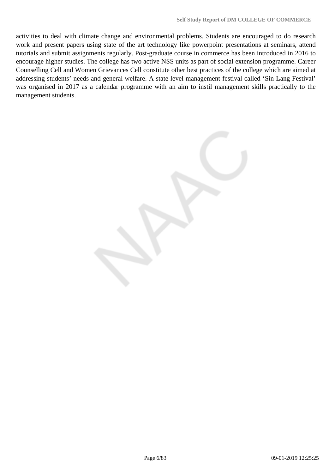activities to deal with climate change and environmental problems. Students are encouraged to do research work and present papers using state of the art technology like powerpoint presentations at seminars, attend tutorials and submit assignments regularly. Post-graduate course in commerce has been introduced in 2016 to encourage higher studies. The college has two active NSS units as part of social extension programme. Career Counselling Cell and Women Grievances Cell constitute other best practices of the college which are aimed at addressing students' needs and general welfare. A state level management festival called 'Sin-Lang Festival' was organised in 2017 as a calendar programme with an aim to instil management skills practically to the management students.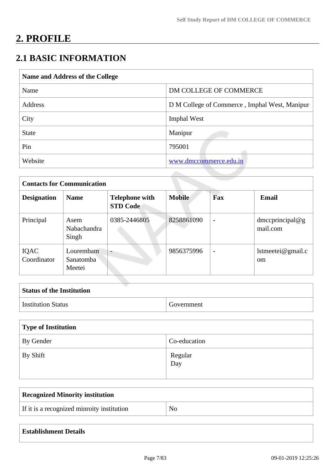# **2. PROFILE**

# **2.1 BASIC INFORMATION**

| Name and Address of the College |                                               |
|---------------------------------|-----------------------------------------------|
| Name                            | DM COLLEGE OF COMMERCE                        |
| Address                         | D M College of Commerce, Imphal West, Manipur |
| City                            | <b>Imphal West</b>                            |
| <b>State</b>                    | Manipur                                       |
| Pin                             | 795001                                        |
| Website                         | www.dmccommerce.edu.in                        |

| <b>Contacts for Communication</b> |                                  |                                          |               |                          |                                       |  |  |
|-----------------------------------|----------------------------------|------------------------------------------|---------------|--------------------------|---------------------------------------|--|--|
| <b>Designation</b>                | <b>Name</b>                      | <b>Telephone with</b><br><b>STD Code</b> | <b>Mobile</b> | Fax                      | Email                                 |  |  |
| Principal                         | Asem<br>Nabachandra<br>Singh     | 0385-2446805                             | 8258861090    | $\overline{\phantom{0}}$ | dmccprincipal@g<br>mail.com           |  |  |
| IQAC<br>Coordinator               | Lourembam<br>Sanatomba<br>Meetei |                                          | 9856375996    | $\overline{\phantom{0}}$ | $l$ stmeetei@gmail.c<br><sub>om</sub> |  |  |

| <b>Status of the Institution</b> |            |
|----------------------------------|------------|
| <b>Institution Status</b>        | Government |

| Type of Institution |                |
|---------------------|----------------|
| By Gender           | Co-education   |
| By Shift            | Regular<br>Day |

| <b>Recognized Minority institution</b>     |    |
|--------------------------------------------|----|
| If it is a recognized minroity institution | No |

# **Establishment Details**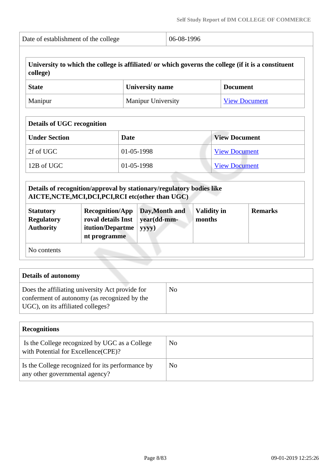|                                                           |                                                                                                                                                                                                                 |                           |                                        |                              |                      | University to which the college is affiliated/ or which governs the college (if it is a constituent |  |
|-----------------------------------------------------------|-----------------------------------------------------------------------------------------------------------------------------------------------------------------------------------------------------------------|---------------------------|----------------------------------------|------------------------------|----------------------|-----------------------------------------------------------------------------------------------------|--|
| college)<br><b>State</b>                                  |                                                                                                                                                                                                                 |                           | <b>University name</b>                 |                              | <b>Document</b>      |                                                                                                     |  |
| Manipur                                                   |                                                                                                                                                                                                                 | <b>Manipur University</b> |                                        |                              |                      | <b>View Document</b>                                                                                |  |
| <b>Details of UGC recognition</b>                         |                                                                                                                                                                                                                 |                           |                                        |                              |                      |                                                                                                     |  |
| <b>Under Section</b><br><b>Date</b>                       |                                                                                                                                                                                                                 |                           |                                        | <b>View Document</b>         |                      |                                                                                                     |  |
| 2f of UGC                                                 |                                                                                                                                                                                                                 | 01-05-1998                |                                        |                              | <b>View Document</b> |                                                                                                     |  |
| 12B of UGC                                                |                                                                                                                                                                                                                 | 01-05-1998                |                                        |                              | <b>View Document</b> |                                                                                                     |  |
| <b>Statutory</b><br><b>Regulatory</b><br><b>Authority</b> | Details of recognition/approval by stationary/regulatory bodies like<br>AICTE, NCTE, MCI, DCI, PCI, RCI etc(other than UGC)<br><b>Recognition/App</b><br>roval details Inst<br>itution/Departme<br>nt programme |                           | Day, Month and<br>year(dd-mm-<br>yyyy) | <b>Validity in</b><br>months |                      | <b>Remarks</b>                                                                                      |  |

| Details of autonomy                                                                                                                  |    |
|--------------------------------------------------------------------------------------------------------------------------------------|----|
| Does the affiliating university Act provide for<br>conferment of autonomy (as recognized by the<br>UGC), on its affiliated colleges? | No |

| <b>Recognitions</b>                                                                   |    |  |  |  |  |
|---------------------------------------------------------------------------------------|----|--|--|--|--|
| Is the College recognized by UGC as a College<br>with Potential for Excellence (CPE)? | No |  |  |  |  |
| Is the College recognized for its performance by<br>any other governmental agency?    | No |  |  |  |  |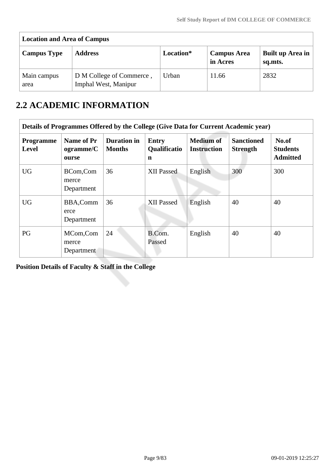| <b>Location and Area of Campus</b> |                                                  |           |                                |                             |  |  |  |  |
|------------------------------------|--------------------------------------------------|-----------|--------------------------------|-----------------------------|--|--|--|--|
| <b>Campus Type</b>                 | <b>Address</b>                                   | Location* | <b>Campus Area</b><br>in Acres | Built up Area in<br>sq.mts. |  |  |  |  |
| Main campus<br>area                | D M College of Commerce,<br>Imphal West, Manipur | Urban     | 11.66                          | 2832                        |  |  |  |  |

# **2.2 ACADEMIC INFORMATION**

|                           | Details of Programmes Offered by the College (Give Data for Current Academic year) |                                     |                                          |                                        |                                      |                                             |  |
|---------------------------|------------------------------------------------------------------------------------|-------------------------------------|------------------------------------------|----------------------------------------|--------------------------------------|---------------------------------------------|--|
| <b>Programme</b><br>Level | Name of Pr<br>ogramme/C<br>ourse                                                   | <b>Duration</b> in<br><b>Months</b> | <b>Entry</b><br><b>Qualificatio</b><br>n | <b>Medium</b> of<br><b>Instruction</b> | <b>Sanctioned</b><br><b>Strength</b> | No.of<br><b>Students</b><br><b>Admitted</b> |  |
| <b>UG</b>                 | BCom,Com<br>merce<br>Department                                                    | 36                                  | <b>XII Passed</b>                        | English                                | 300                                  | 300                                         |  |
| <b>UG</b>                 | BBA,Comm<br>erce<br>Department                                                     | 36                                  | <b>XII Passed</b>                        | English                                | 40                                   | 40                                          |  |
| PG                        | MCom,Com<br>merce<br>Department                                                    | 24                                  | B.Com.<br>Passed                         | English                                | 40                                   | 40                                          |  |

**Position Details of Faculty & Staff in the College**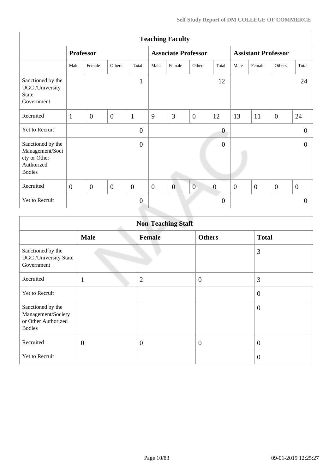| <b>Teaching Faculty</b>                                                             |                  |                |                |                            |                |                |                            |                  |                |                |                |                |
|-------------------------------------------------------------------------------------|------------------|----------------|----------------|----------------------------|----------------|----------------|----------------------------|------------------|----------------|----------------|----------------|----------------|
|                                                                                     | <b>Professor</b> |                |                | <b>Associate Professor</b> |                |                | <b>Assistant Professor</b> |                  |                |                |                |                |
|                                                                                     | Male             | Female         | Others         | Total                      | Male           | Female         | Others                     | Total            | Male           | Female         | Others         | Total          |
| Sanctioned by the<br>UGC /University<br>State<br>Government                         |                  |                |                | $\mathbf{1}$               |                |                |                            | 12               |                |                |                | 24             |
| Recruited                                                                           | $\mathbf{1}$     | $\overline{0}$ | $\overline{0}$ | $\mathbf{1}$               | 9              | 3              | $\overline{0}$             | 12               | 13             | 11             | $\overline{0}$ | 24             |
| Yet to Recruit                                                                      |                  |                |                | $\overline{0}$             |                |                |                            | $\overline{0}$   |                |                |                | $\Omega$       |
| Sanctioned by the<br>Management/Soci<br>ety or Other<br>Authorized<br><b>Bodies</b> |                  |                |                | $\overline{0}$             |                |                |                            | $\overline{0}$   |                |                |                | $\theta$       |
| Recruited                                                                           | $\overline{0}$   | $\overline{0}$ | $\mathbf{0}$   | $\overline{0}$             | $\overline{0}$ | $\overline{0}$ | $\overline{0}$             | $\boldsymbol{0}$ | $\overline{0}$ | $\overline{0}$ | $\mathbf{0}$   | $\overline{0}$ |
| Yet to Recruit                                                                      |                  |                |                | $\overline{0}$             |                |                |                            | $\theta$         |                |                |                | $\theta$       |
|                                                                                     |                  |                |                |                            |                |                |                            |                  |                |                |                |                |

| <b>Non-Teaching Staff</b>                                                       |                |                |                  |                  |  |  |  |
|---------------------------------------------------------------------------------|----------------|----------------|------------------|------------------|--|--|--|
|                                                                                 | <b>Male</b>    | <b>Female</b>  | <b>Others</b>    | <b>Total</b>     |  |  |  |
| Sanctioned by the<br><b>UGC</b> / University State<br>Government                |                |                |                  | 3                |  |  |  |
| Recruited                                                                       | $\mathbf{1}$   | $\overline{2}$ | $\boldsymbol{0}$ | 3                |  |  |  |
| Yet to Recruit                                                                  |                |                |                  | $\overline{0}$   |  |  |  |
| Sanctioned by the<br>Management/Society<br>or Other Authorized<br><b>Bodies</b> |                |                |                  | $\boldsymbol{0}$ |  |  |  |
| Recruited                                                                       | $\overline{0}$ | $\overline{0}$ | $\boldsymbol{0}$ | $\boldsymbol{0}$ |  |  |  |
| Yet to Recruit                                                                  |                |                |                  | $\overline{0}$   |  |  |  |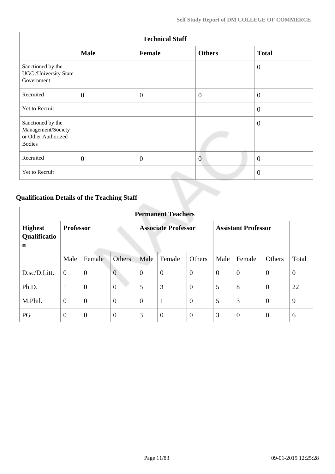|                                                                                 |                | <b>Technical Staff</b> |                |                |
|---------------------------------------------------------------------------------|----------------|------------------------|----------------|----------------|
|                                                                                 | <b>Male</b>    | Female                 | <b>Others</b>  | <b>Total</b>   |
| Sanctioned by the<br><b>UGC</b> / University State<br>Government                |                |                        |                | $\overline{0}$ |
| Recruited                                                                       | $\mathbf{0}$   | $\overline{0}$         | $\overline{0}$ | $\overline{0}$ |
| Yet to Recruit                                                                  |                |                        |                | $\mathbf{0}$   |
| Sanctioned by the<br>Management/Society<br>or Other Authorized<br><b>Bodies</b> |                |                        |                | $\theta$       |
| Recruited                                                                       | $\overline{0}$ | $\overline{0}$         | $\overline{0}$ | $\overline{0}$ |
| Yet to Recruit                                                                  |                |                        |                | $\overline{0}$ |

# **Qualification Details of the Teaching Staff**

|                                     | <b>Permanent Teachers</b> |                |                            |                |                            |                  |          |          |                |                |
|-------------------------------------|---------------------------|----------------|----------------------------|----------------|----------------------------|------------------|----------|----------|----------------|----------------|
| <b>Highest</b><br>Qualificatio<br>n | <b>Professor</b>          |                | <b>Associate Professor</b> |                | <b>Assistant Professor</b> |                  |          |          |                |                |
|                                     | Male                      | Female         | <b>Others</b>              | Male           | Female                     | Others           | Male     | Female   | <b>Others</b>  | Total          |
| D.sc/D.Litt.                        | $\overline{0}$            | $\overline{0}$ | $\overline{0}$             | $\overline{0}$ | $\overline{0}$             | $\overline{0}$   | $\theta$ | $\theta$ | $\overline{0}$ | $\overline{0}$ |
| Ph.D.                               | $\mathbf{1}$              | $\overline{0}$ | $\overline{0}$             | 5              | 3                          | $\overline{0}$   | 5        | 8        | $\theta$       | 22             |
| M.Phil.                             | $\boldsymbol{0}$          | $\overline{0}$ | $\overline{0}$             | $\overline{0}$ | $\mathbf{1}$               | $\overline{0}$   | 5        | 3        | $\overline{0}$ | 9              |
| PG                                  | $\theta$                  | $\overline{0}$ | $\theta$                   | 3              | $\overline{0}$             | $\boldsymbol{0}$ | 3        | $\theta$ | $\overline{0}$ | 6              |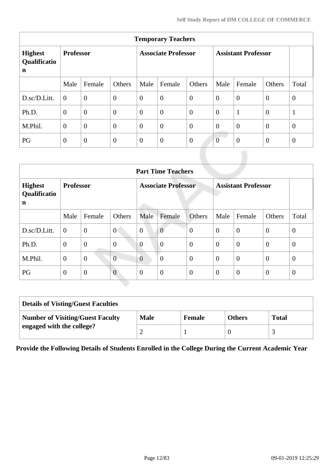| <b>Temporary Teachers</b>                     |                  |                |                |                            |                  |                |                            |                |                |                |
|-----------------------------------------------|------------------|----------------|----------------|----------------------------|------------------|----------------|----------------------------|----------------|----------------|----------------|
| <b>Highest</b><br>Qualificatio<br>$\mathbf n$ | <b>Professor</b> |                |                | <b>Associate Professor</b> |                  |                | <b>Assistant Professor</b> |                |                |                |
|                                               | Male             | Female         | Others         | Male                       | Female           | Others         | Male                       | Female         | Others         | Total          |
| D.sc/D.Litt.                                  | $\Omega$         | $\overline{0}$ | $\overline{0}$ | $\overline{0}$             | $\boldsymbol{0}$ | $\overline{0}$ | $\overline{0}$             | $\overline{0}$ | $\overline{0}$ | $\overline{0}$ |
| Ph.D.                                         | $\theta$         | $\overline{0}$ | $\overline{0}$ | $\overline{0}$             | $\overline{0}$   | $\theta$       | $\overline{0}$             | $\mathbf{1}$   | $\overline{0}$ | $\mathbf{1}$   |
| M.Phil.                                       | $\overline{0}$   | $\overline{0}$ | $\overline{0}$ | $\overline{0}$             | $\overline{0}$   | $\overline{0}$ | $\overline{0}$             | $\overline{0}$ | $\overline{0}$ | $\overline{0}$ |
| PG                                            | $\overline{0}$   | $\overline{0}$ | $\overline{0}$ | $\overline{0}$             | $\overline{0}$   | $\overline{0}$ | $\overline{0}$             | $\overline{0}$ | $\overline{0}$ | $\theta$       |

| <b>Part Time Teachers</b>           |                  |                |                |                            |                  |                  |                            |                |                |                |
|-------------------------------------|------------------|----------------|----------------|----------------------------|------------------|------------------|----------------------------|----------------|----------------|----------------|
| <b>Highest</b><br>Qualificatio<br>n | <b>Professor</b> |                |                | <b>Associate Professor</b> |                  |                  | <b>Assistant Professor</b> |                |                |                |
|                                     | Male             | Female         | Others         | Male                       | Female           | Others           | Male                       | Female         | Others         | Total          |
| D.sc/D.Litt.                        | $\theta$         | $\overline{0}$ | $\overline{0}$ | $\overline{0}$             | $\overline{0}$   | $\overline{0}$   | $\overline{0}$             | $\overline{0}$ | $\overline{0}$ | $\overline{0}$ |
| Ph.D.                               | $\theta$         | $\mathbf{0}$   | $\overline{0}$ | $\overline{0}$             | $\overline{0}$   | $\overline{0}$   | $\theta$                   | $\overline{0}$ | $\overline{0}$ | $\theta$       |
| M.Phil.                             | $\mathbf{0}$     | $\overline{0}$ | $\overline{0}$ | $\overline{0}$             | $\boldsymbol{0}$ | $\boldsymbol{0}$ | $\theta$                   | $\overline{0}$ | $\overline{0}$ | $\theta$       |
| PG                                  | $\mathbf{0}$     | $\overline{0}$ | $\overline{0}$ | $\overline{0}$             | $\overline{0}$   | $\boldsymbol{0}$ | $\overline{0}$             | $\overline{0}$ | $\mathbf{0}$   | $\theta$       |

| <b>Details of Visting/Guest Faculties</b> |             |        |               |              |  |  |  |
|-------------------------------------------|-------------|--------|---------------|--------------|--|--|--|
| <b>Number of Visiting/Guest Faculty</b>   | <b>Male</b> | Female | <b>Others</b> | <b>Total</b> |  |  |  |
| engaged with the college?                 |             |        |               |              |  |  |  |

**Provide the Following Details of Students Enrolled in the College During the Current Academic Year**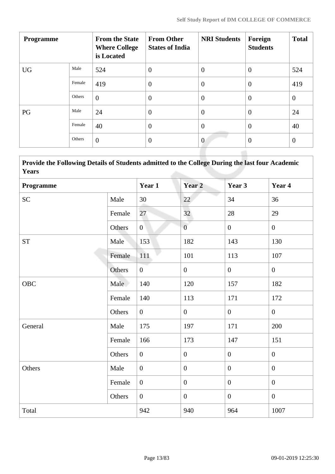| <b>Programme</b> |        | <b>From the State</b><br><b>Where College</b><br>is Located | <b>From Other</b><br><b>States of India</b> | <b>NRI Students</b> | Foreign<br><b>Students</b> | <b>Total</b>     |
|------------------|--------|-------------------------------------------------------------|---------------------------------------------|---------------------|----------------------------|------------------|
| <b>UG</b>        | Male   | 524                                                         | $\overline{0}$                              | $\overline{0}$      | $\overline{0}$             | 524              |
|                  | Female | 419                                                         | $\theta$                                    | $\overline{0}$      | $\overline{0}$             | 419              |
|                  | Others | $\overline{0}$                                              | $\overline{0}$                              | $\overline{0}$      | $\overline{0}$             | $\boldsymbol{0}$ |
| PG               | Male   | 24                                                          | $\overline{0}$                              | $\overline{0}$      | $\overline{0}$             | 24               |
|                  | Female | 40                                                          | $\overline{0}$                              | $\overline{0}$      | $\overline{0}$             | 40               |
|                  | Others | $\overline{0}$                                              | $\overline{0}$                              | $\mathbf{0}$        | $\overline{0}$             | $\overline{0}$   |

|       | <b>Provide the Following Details of Students admitted to the College During the last four Academic</b> |
|-------|--------------------------------------------------------------------------------------------------------|
| Years |                                                                                                        |

| Programme |        | Year 1         | Year 2           | Year 3         | Year 4           |
|-----------|--------|----------------|------------------|----------------|------------------|
| <b>SC</b> | Male   | 30             | 22               | 34             | 36               |
|           | Female | 27             | 32               | 28             | 29               |
|           | Others | $\overline{0}$ | $\overline{0}$   | $\overline{0}$ | $\overline{0}$   |
| <b>ST</b> | Male   | 153            | 182              | 143            | 130              |
|           | Female | 111            | 101              | 113            | 107              |
|           | Others | $\overline{0}$ | $\boldsymbol{0}$ | $\overline{0}$ | $\overline{0}$   |
| OBC       | Male   | 140            | 120              | 157            | 182              |
|           | Female | 140            | 113              | 171            | 172              |
|           | Others | $\overline{0}$ | $\boldsymbol{0}$ | $\overline{0}$ | $\overline{0}$   |
| General   | Male   | 175            | 197              | 171            | 200              |
|           | Female | 166            | 173              | 147            | 151              |
|           | Others | $\overline{0}$ | $\boldsymbol{0}$ | $\mathbf{0}$   | $\overline{0}$   |
| Others    | Male   | $\overline{0}$ | $\boldsymbol{0}$ | $\overline{0}$ | $\overline{0}$   |
|           | Female | $\overline{0}$ | $\boldsymbol{0}$ | $\overline{0}$ | $\overline{0}$   |
|           | Others | $\overline{0}$ | $\boldsymbol{0}$ | $\overline{0}$ | $\boldsymbol{0}$ |
| Total     |        | 942            | 940              | 964            | 1007             |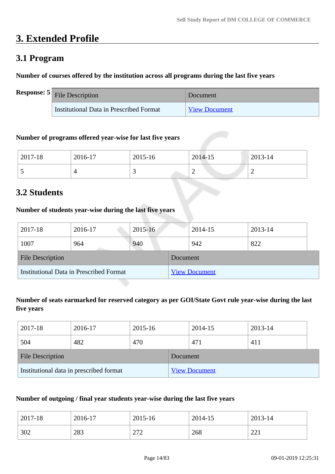# **3. Extended Profile**

# **3.1 Program**

# **Number of courses offered by the institution across all programs during the last five years**

| <b>Response:</b> $5 \vert$ File Description | Document             |
|---------------------------------------------|----------------------|
| Institutional Data in Prescribed Format     | <b>View Document</b> |

### **Number of programs offered year-wise for last five years**

| 2017-18 | 2016-17 | 2015-16 | 2014-15 | 2013-14 |
|---------|---------|---------|---------|---------|
| ັ       |         | ~       | ∼       | _       |

# **3.2 Students**

# **Number of students year-wise during the last five years**

| 2017-18                                 | 2016-17 | $2015 - 16$ |          | 2014-15              | 2013-14 |  |
|-----------------------------------------|---------|-------------|----------|----------------------|---------|--|
| 1007                                    | 964     | 940         |          | 942                  | 822     |  |
| <b>File Description</b>                 |         |             | Document |                      |         |  |
| Institutional Data in Prescribed Format |         |             |          | <b>View Document</b> |         |  |

# **Number of seats earmarked for reserved category as per GOI/State Govt rule year-wise during the last five years**

| 2017-18                                 | 2016-17 | 2015-16 |          | 2014-15              | 2013-14 |  |
|-----------------------------------------|---------|---------|----------|----------------------|---------|--|
| 504                                     | 482     | 470     |          | 471                  | 411     |  |
| <b>File Description</b>                 |         |         | Document |                      |         |  |
| Institutional data in prescribed format |         |         |          | <b>View Document</b> |         |  |

# **Number of outgoing / final year students year-wise during the last five years**

| 2017-18 | 2016-17 | 2015-16                | 2014-15 | 2013-14                                                            |
|---------|---------|------------------------|---------|--------------------------------------------------------------------|
| 302     | 283     | ההר<br>$\sim$ 1 $\sim$ | 268     | $\mathbin{\bigcap} \mathbin{\bigcap} \mathbin{\biguparrow}$<br>∠∠⊥ |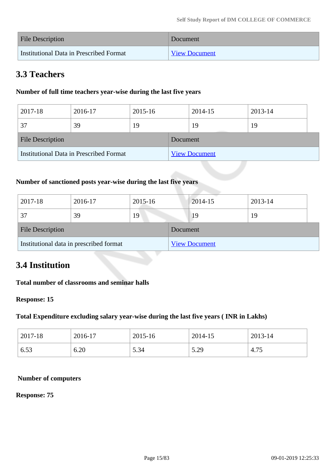| <b>File Description</b>                 | Document             |
|-----------------------------------------|----------------------|
| Institutional Data in Prescribed Format | <b>View Document</b> |

# **3.3 Teachers**

# **Number of full time teachers year-wise during the last five years**

| 2017-18                 | 2016-17                                 | 2015-16 |          | 2014-15              | 2013-14 |  |
|-------------------------|-----------------------------------------|---------|----------|----------------------|---------|--|
| 37                      | 39                                      | 19      |          | 19                   | 19      |  |
| <b>File Description</b> |                                         |         | Document |                      |         |  |
|                         | Institutional Data in Prescribed Format |         |          | <b>View Document</b> |         |  |

# **Number of sanctioned posts year-wise during the last five years**

| 2017-18                 | 2016-17                                 | 2015-16 |          | $2014 - 15$          | 2013-14 |
|-------------------------|-----------------------------------------|---------|----------|----------------------|---------|
| 37                      | 39                                      | 19      |          | 19                   | 19      |
| <b>File Description</b> |                                         |         | Document |                      |         |
|                         | Institutional data in prescribed format |         |          | <b>View Document</b> |         |

# **3.4 Institution**

# **Total number of classrooms and seminar halls**

### **Response: 15**

# **Total Expenditure excluding salary year-wise during the last five years ( INR in Lakhs)**

| 2017-18 | 2016-17 | 2015-16 | 2014-15 | 2013-14    |
|---------|---------|---------|---------|------------|
| 6.53    | 6.20    | 5.34    | 5.29    | 75<br>4.13 |

#### **Number of computers**

#### **Response: 75**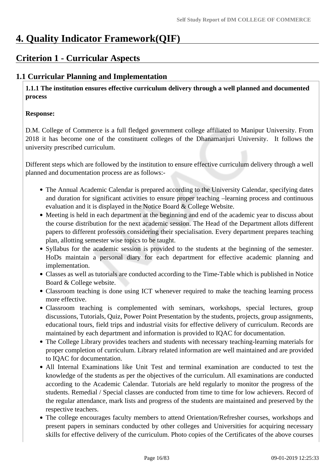# **4. Quality Indicator Framework(QIF)**

# **Criterion 1 - Curricular Aspects**

# **1.1 Curricular Planning and Implementation**

 **1.1.1 The institution ensures effective curriculum delivery through a well planned and documented process** 

### **Response:**

D.M. College of Commerce is a full fledged government college affiliated to Manipur University. From 2018 it has become one of the constituent colleges of the Dhanamanjuri University. It follows the university prescribed curriculum.

Different steps which are followed by the institution to ensure effective curriculum delivery through a well planned and documentation process are as follows:-

- The Annual Academic Calendar is prepared according to the University Calendar, specifying dates and duration for significant activities to ensure proper teaching –learning process and continuous evaluation and it is displayed in the Notice Board & College Website.
- Meeting is held in each department at the beginning and end of the academic year to discuss about the course distribution for the next academic session. The Head of the Department allots different papers to different professors considering their specialisation. Every department prepares teaching plan, allotting semester wise topics to be taught.
- Syllabus for the academic session is provided to the students at the beginning of the semester. HoDs maintain a personal diary for each department for effective academic planning and implementation.
- Classes as well as tutorials are conducted according to the Time-Table which is published in Notice Board & College website.
- Classroom teaching is done using ICT whenever required to make the teaching learning process more effective.
- Classroom teaching is complemented with seminars, workshops, special lectures, group discussions, Tutorials, Quiz, Power Point Presentation by the students, projects, group assignments, educational tours, field trips and industrial visits for effective delivery of curriculum. Records are maintained by each department and information is provided to IQAC for documentation.
- The College Library provides teachers and students with necessary teaching-learning materials for proper completion of curriculum. Library related information are well maintained and are provided to IQAC for documentation.
- All Internal Examinations like Unit Test and terminal examination are conducted to test the knowledge of the students as per the objectives of the curriculum. All examinations are conducted according to the Academic Calendar. Tutorials are held regularly to monitor the progress of the students. Remedial / Special classes are conducted from time to time for low achievers. Record of the regular attendance, mark lists and progress of the students are maintained and preserved by the respective teachers.
- The college encourages faculty members to attend Orientation/Refresher courses, workshops and present papers in seminars conducted by other colleges and Universities for acquiring necessary skills for effective delivery of the curriculum. Photo copies of the Certificates of the above courses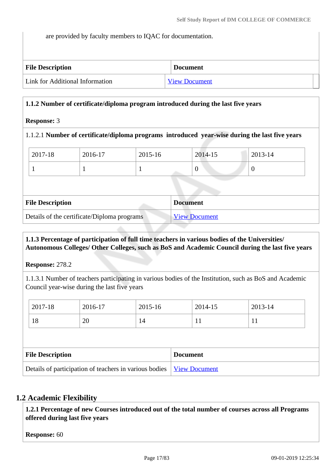are provided by faculty members to IQAC for documentation.

| <b>File Description</b>         | <b>Document</b> |  |
|---------------------------------|-----------------|--|
| Link for Additional Information | View Document   |  |

### **1.1.2 Number of certificate/diploma program introduced during the last five years**

### **Response:** 3

### 1.1.2.1 **Number of certificate/diploma programs introduced year-wise during the last five years**

| 2017-18                 | 2016-17                                     | 2015-16 |                 | 2014-15              | 2013-14  |  |
|-------------------------|---------------------------------------------|---------|-----------------|----------------------|----------|--|
|                         |                                             |         |                 | $\overline{0}$       | $\theta$ |  |
|                         |                                             |         |                 |                      |          |  |
| <b>File Description</b> |                                             |         | <b>Document</b> |                      |          |  |
|                         | Details of the certificate/Diploma programs |         |                 | <b>View Document</b> |          |  |

# **1.1.3 Percentage of participation of full time teachers in various bodies of the Universities/ Autonomous Colleges/ Other Colleges, such as BoS and Academic Council during the last five years**

#### **Response:** 278.2

1.1.3.1 Number of teachers participating in various bodies of the Institution, such as BoS and Academic Council year-wise during the last five years

| 2017-18                 | 2016-17 | 2015-16 | 2014-15         | 2013-14 |  |
|-------------------------|---------|---------|-----------------|---------|--|
| 18                      | 20      | 14      | 11              | 11      |  |
|                         |         |         |                 |         |  |
|                         |         |         |                 |         |  |
| <b>File Description</b> |         |         | <b>Document</b> |         |  |

# **1.2 Academic Flexibility**

 **1.2.1 Percentage of new Courses introduced out of the total number of courses across all Programs offered during last five years**

**Response:** 60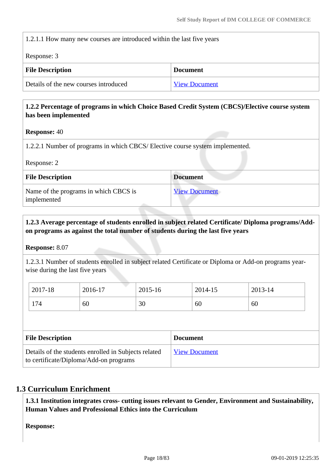1.2.1.1 How many new courses are introduced within the last five years

Response: 3

| <b>File Description</b>               | <b>Document</b>      |
|---------------------------------------|----------------------|
| Details of the new courses introduced | <b>View Document</b> |

# **1.2.2 Percentage of programs in which Choice Based Credit System (CBCS)/Elective course system has been implemented**

#### **Response:** 40

1.2.2.1 Number of programs in which CBCS/ Elective course system implemented.

Response: 2

| <b>File Description</b>                              | <b>Document</b>      |
|------------------------------------------------------|----------------------|
| Name of the programs in which CBCS is<br>implemented | <b>View Document</b> |

# **1.2.3 Average percentage of students enrolled in subject related Certificate/ Diploma programs/Addon programs as against the total number of students during the last five years**

#### **Response:** 8.07

1.2.3.1 Number of students enrolled in subject related Certificate or Diploma or Add-on programs yearwise during the last five years

| 2017-18 | 2016-17 | 2015-16 | 2014-15 | 2013-14 |
|---------|---------|---------|---------|---------|
| 174     | 60      | 30      | 60      | 60      |

| <b>File Description</b>                                                                        | <b>Document</b>      |
|------------------------------------------------------------------------------------------------|----------------------|
| Details of the students enrolled in Subjects related<br>to certificate/Diploma/Add-on programs | <b>View Document</b> |

# **1.3 Curriculum Enrichment**

 **1.3.1 Institution integrates cross- cutting issues relevant to Gender, Environment and Sustainability, Human Values and Professional Ethics into the Curriculum**

**Response:**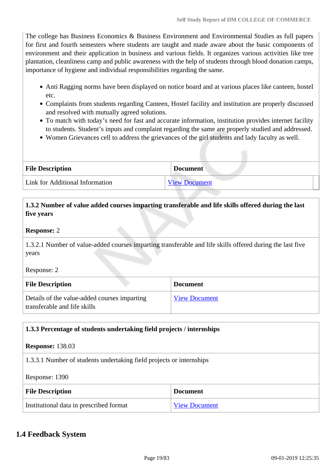The college has Business Economics & Business Environment and Environmental Studies as full papers for first and fourth semesters where students are taught and made aware about the basic components of environment and their application in business and various fields. It organizes various activities like tree plantation, cleanliness camp and public awareness with the help of students through blood donation camps, importance of hygiene and individual responsibilities regarding the same.

- Anti Ragging norms have been displayed on notice board and at various places like canteen, hostel etc.
- Complaints from students regarding Canteen, Hostel facility and institution are properly discussed and resolved with mutually agreed solutions.
- To match with today's need for fast and accurate information, institution provides internet facility to students. Student's inputs and complaint regarding the same are properly studied and addressed.
- Women Grievances cell to address the grievances of the girl students and lady faculty as well.

| <b>File Description</b>         | <b>Document</b>      |
|---------------------------------|----------------------|
| Link for Additional Information | <b>View Document</b> |

# **1.3.2 Number of value added courses imparting transferable and life skills offered during the last five years**

#### **Response:** 2

1.3.2.1 Number of value-added courses imparting transferable and life skills offered during the last five years

Response: 2

| <b>File Description</b>                                                      | <b>Document</b>      |
|------------------------------------------------------------------------------|----------------------|
| Details of the value-added courses imparting<br>transferable and life skills | <b>View Document</b> |

# **1.3.3 Percentage of students undertaking field projects / internships**

#### **Response:** 138.03

1.3.3.1 Number of students undertaking field projects or internships

#### Response: 1390

| <b>File Description</b>                 | <b>Document</b>      |
|-----------------------------------------|----------------------|
| Institutional data in prescribed format | <b>View Document</b> |

# **1.4 Feedback System**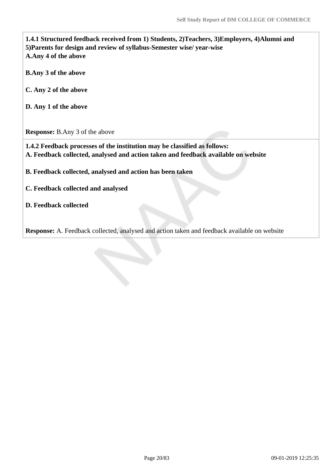**1.4.1 Structured feedback received from 1) Students, 2)Teachers, 3)Employers, 4)Alumni and 5)Parents for design and review of syllabus-Semester wise/ year-wise A.Any 4 of the above**

**B.Any 3 of the above**

**C. Any 2 of the above**

**D. Any 1 of the above**

**Response:** B.Any 3 of the above

 **1.4.2 Feedback processes of the institution may be classified as follows: A. Feedback collected, analysed and action taken and feedback available on website**

**B. Feedback collected, analysed and action has been taken**

**C. Feedback collected and analysed**

**D. Feedback collected**

**Response:** A. Feedback collected, analysed and action taken and feedback available on website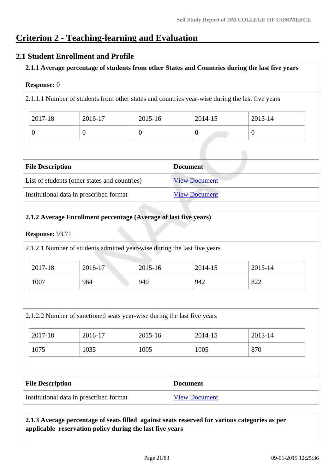# **Criterion 2 - Teaching-learning and Evaluation**

# **2.1 Student Enrollment and Profile**

**2.1.1 Average percentage of students from other States and Countries during the last five years**

### **Response:** 0

2.1.1.1 Number of students from other states and countries year-wise during the last five years

| 2017-18 | 2016-17 | 2015-16 | 2014-15 | 2013-14 |
|---------|---------|---------|---------|---------|
|         |         |         | ν       |         |

| <b>File Description</b>                       | <b>Document</b>      |
|-----------------------------------------------|----------------------|
| List of students (other states and countries) | <b>View Document</b> |
| Institutional data in prescribed format       | <b>View Document</b> |

# **2.1.2 Average Enrollment percentage (Average of last five years)**

#### **Response:** 93.71

2.1.2.1 Number of students admitted year-wise during the last five years

| 2017-18 | 2016-17 | 2015-16 | 2014-15 | 2013-14 |
|---------|---------|---------|---------|---------|
| 1007    | 964     | 940     | 942     | 822     |

2.1.2.2 Number of sanctioned seats year-wise during the last five years

| 2017-18 | 2016-17 | 2015-16 | 2014-15 | 2013-14 |
|---------|---------|---------|---------|---------|
| 1075    | 1035    | 1005    | 1005    | 870     |

| <b>File Description</b>                 | <b>Document</b>      |
|-----------------------------------------|----------------------|
| Institutional data in prescribed format | <b>View Document</b> |

# **2.1.3 Average percentage of seats filled against seats reserved for various categories as per applicable reservation policy during the last five years**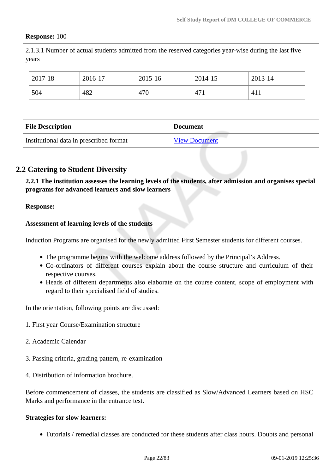# **Response:** 100

2.1.3.1 Number of actual students admitted from the reserved categories year-wise during the last five years

| 2017-18                 | 2016-17 | 2015-16 |                 | 2014-15 | 2013-14 |  |
|-------------------------|---------|---------|-----------------|---------|---------|--|
| 504                     | 482     | 470     |                 | 471     | 411     |  |
|                         |         |         |                 |         |         |  |
|                         |         |         |                 |         |         |  |
| <b>File Description</b> |         |         | <b>Document</b> |         |         |  |

# **2.2 Catering to Student Diversity**

 **2.2.1 The institution assesses the learning levels of the students, after admission and organises special programs for advanced learners and slow learners**

### **Response:**

### **Assessment of learning levels of the students**

Induction Programs are organised for the newly admitted First Semester students for different courses.

- The programme begins with the welcome address followed by the Principal's Address.
- Co-ordinators of different courses explain about the course structure and curriculum of their respective courses.
- Heads of different departments also elaborate on the course content, scope of employment with regard to their specialised field of studies.

In the orientation, following points are discussed:

- 1. First year Course/Examination structure
- 2. Academic Calendar
- 3. Passing criteria, grading pattern, re-examination
- 4. Distribution of information brochure.

Before commencement of classes, the students are classified as Slow/Advanced Learners based on HSC Marks and performance in the entrance test.

### **Strategies for slow learners:**

Tutorials / remedial classes are conducted for these students after class hours. Doubts and personal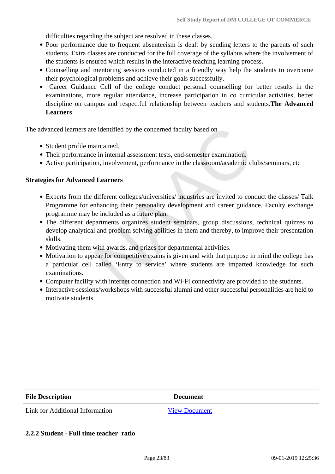difficulties regarding the subject are resolved in these classes.

- Poor performance due to frequent absenteeism is dealt by sending letters to the parents of such students. Extra classes are conducted for the full coverage of the syllabus where the involvement of the students is ensured which results in the interactive teaching learning process.
- Counselling and mentoring sessions conducted in a friendly way help the students to overcome their psychological problems and achieve their goals successfully.
- Career Guidance Cell of the college conduct personal counselling for better results in the examinations, more regular attendance, increase participation in co curricular activities, better discipline on campus and respectful relationship between teachers and students.**The Advanced Learners**

The advanced learners are identified by the concerned faculty based on

- Student profile maintained.
- Their performance in internal assessment tests, end-semester examination.
- Active participation, involvement, performance in the classroom/academic clubs/seminars, etc

#### **Strategies for Advanced Learners**

- Experts from the different colleges/universities/ industries are invited to conduct the classes/ Talk Programme for enhancing their personality development and career guidance. Faculty exchange programme may be included as a future plan.
- The different departments organizes student seminars, group discussions, technical quizzes to develop analytical and problem solving abilities in them and thereby, to improve their presentation skills.
- Motivating them with awards, and prizes for departmental activities.
- Motivation to appear for competitive exams is given and with that purpose in mind the college has a particular cell called 'Entry to service' where students are imparted knowledge for such examinations.
- Computer facility with internet connection and Wi-Fi connectivity are provided to the students.
- Interactive sessions/workshops with successful alumni and other successful personalities are held to motivate students.

| <b>File Description</b>         | <b>Document</b>      |
|---------------------------------|----------------------|
| Link for Additional Information | <b>View Document</b> |

| 2.2.2 Student - Full time teacher ratio |  |  |
|-----------------------------------------|--|--|
|                                         |  |  |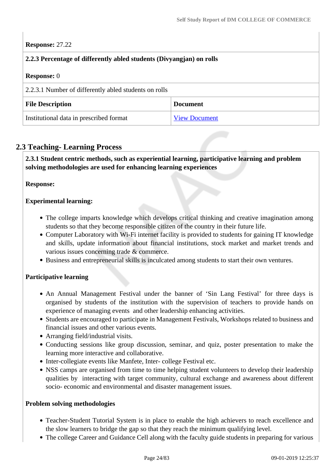# **Response:** 27.22

# **2.2.3 Percentage of differently abled students (Divyangjan) on rolls**

| <b>Response:</b> 0                                    |                      |
|-------------------------------------------------------|----------------------|
| 2.2.3.1 Number of differently abled students on rolls |                      |
| <b>File Description</b>                               | <b>Document</b>      |
| Institutional data in prescribed format               | <b>View Document</b> |

# **2.3 Teaching- Learning Process**

 **2.3.1 Student centric methods, such as experiential learning, participative learning and problem solving methodologies are used for enhancing learning experiences**

**Response:** 

# **Experimental learning:**

- The college imparts knowledge which develops critical thinking and creative imagination among students so that they become responsible citizen of the country in their future life.
- Computer Laboratory with Wi-Fi internet facility is provided to students for gaining IT knowledge and skills, update information about financial institutions, stock market and market trends and various issues concerning trade & commerce.
- Business and entrepreneurial skills is inculcated among students to start their own ventures.

# **Participative learning**

- An Annual Management Festival under the banner of 'Sin Lang Festival' for three days is organised by students of the institution with the supervision of teachers to provide hands on experience of managing events and other leadership enhancing activities.
- Students are encouraged to participate in Management Festivals, Workshops related to business and financial issues and other various events.
- Arranging field/industrial visits.
- Conducting sessions like group discussion, seminar, and quiz, poster presentation to make the learning more interactive and collaborative.
- Inter-collegiate events like Manfete, Inter-college Festival etc.
- NSS camps are organised from time to time helping student volunteers to develop their leadership qualities by interacting with target community, cultural exchange and awareness about different socio- economic and environmental and disaster management issues.

### **Problem solving methodologies**

- Teacher-Student Tutorial System is in place to enable the high achievers to reach excellence and the slow learners to bridge the gap so that they reach the minimum qualifying level.
- The college Career and Guidance Cell along with the faculty guide students in preparing for various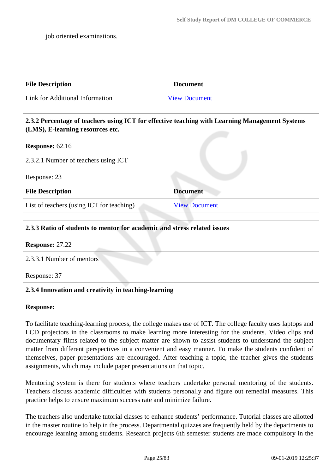job oriented examinations.

| <b>File Description</b>         | <b>Document</b>      |
|---------------------------------|----------------------|
| Link for Additional Information | <b>View Document</b> |

| 2.3.2 Percentage of teachers using ICT for effective teaching with Learning Management Systems<br>(LMS), E-learning resources etc. |                      |
|------------------------------------------------------------------------------------------------------------------------------------|----------------------|
| <b>Response:</b> $62.16$                                                                                                           |                      |
| 2.3.2.1 Number of teachers using ICT                                                                                               |                      |
| Response: 23                                                                                                                       |                      |
| <b>File Description</b>                                                                                                            | <b>Document</b>      |
| List of teachers (using ICT for teaching)                                                                                          | <b>View Document</b> |

| 2.3.3 Ratio of students to mentor for academic and stress related issues |  |
|--------------------------------------------------------------------------|--|
| <b>Response: 27.22</b>                                                   |  |
| 2.3.3.1 Number of mentors                                                |  |
| Response: 37                                                             |  |
| 2.3.4 Innovation and creativity in teaching-learning                     |  |

### **Response:**

To facilitate teaching-learning process, the college makes use of ICT. The college faculty uses laptops and LCD projectors in the classrooms to make learning more interesting for the students. Video clips and documentary films related to the subject matter are shown to assist students to understand the subject matter from different perspectives in a convenient and easy manner. To make the students confident of themselves, paper presentations are encouraged. After teaching a topic, the teacher gives the students assignments, which may include paper presentations on that topic.

Mentoring system is there for students where teachers undertake personal mentoring of the students. Teachers discuss academic difficulties with students personally and figure out remedial measures. This practice helps to ensure maximum success rate and minimize failure.

The teachers also undertake tutorial classes to enhance students' performance. Tutorial classes are allotted in the master routine to help in the process. Departmental quizzes are frequently held by the departments to encourage learning among students. Research projects 6th semester students are made compulsory in the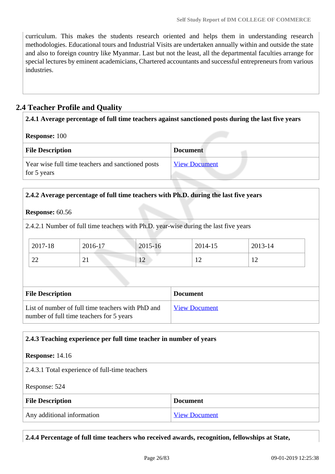curriculum. This makes the students research oriented and helps them in understanding research methodologies. Educational tours and Industrial Visits are undertaken annually within and outside the state and also to foreign country like Myanmar. Last but not the least, all the departmental faculties arrange for special lectures by eminent academicians, Chartered accountants and successful entrepreneurs from various industries.

# **2.4 Teacher Profile and Quality**

| 2.4.1 Average percentage of full time teachers against sanctioned posts during the last five years |                      |
|----------------------------------------------------------------------------------------------------|----------------------|
| <b>Response: 100</b>                                                                               |                      |
| <b>File Description</b>                                                                            | <b>Document</b>      |
| Year wise full time teachers and sanctioned posts<br>for 5 years                                   | <b>View Document</b> |

# **2.4.2 Average percentage of full time teachers with Ph.D. during the last five years**

**Response:** 60.56

2.4.2.1 Number of full time teachers with Ph.D. year-wise during the last five years

| 2017-18                            | 2016-17  | 2015-16                          | 2014-15              | 2013-14        |
|------------------------------------|----------|----------------------------------|----------------------|----------------|
| $\cap$<br>$\overline{\phantom{a}}$ | $\sim$ 1 | 1 <sub>0</sub><br>$\overline{1}$ | 10<br>$\overline{1}$ | $\overline{1}$ |

| <b>File Description</b>                                                                       | <b>Document</b>      |
|-----------------------------------------------------------------------------------------------|----------------------|
| List of number of full time teachers with PhD and<br>number of full time teachers for 5 years | <b>View Document</b> |

# **2.4.3 Teaching experience per full time teacher in number of years**

**Response:** 14.16

2.4.3.1 Total experience of full-time teachers

Response: 524

| <b>File Description</b>    | <b>Document</b>      |
|----------------------------|----------------------|
| Any additional information | <b>View Document</b> |

**2.4.4 Percentage of full time teachers who received awards, recognition, fellowships at State,**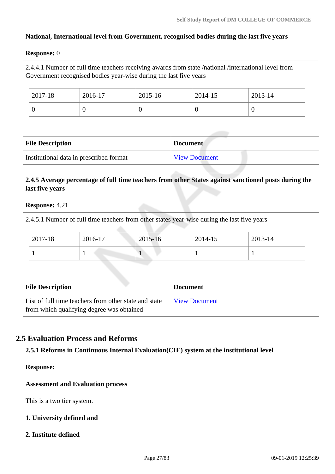# **National, International level from Government, recognised bodies during the last five years**

#### **Response:** 0

2.4.4.1 Number of full time teachers receiving awards from state /national /international level from Government recognised bodies year-wise during the last five years

| 2017-18 | 2016-17 | 2015-16 | 2014-15 | 2013-14 |
|---------|---------|---------|---------|---------|
| ν       | ν       | ν       | ◡       | ν       |

| <b>File Description</b>                 | <b>Document</b>      |
|-----------------------------------------|----------------------|
| Institutional data in prescribed format | <b>View Document</b> |

# **2.4.5 Average percentage of full time teachers from other States against sanctioned posts during the last five years**

#### **Response:** 4.21

2.4.5.1 Number of full time teachers from other states year-wise during the last five years

| 2017-18 | 2016-17 | 2015-16 | 2014-15 | 2013-14 |
|---------|---------|---------|---------|---------|
|         |         |         |         |         |

| <b>File Description</b>                                                                            | <b>Document</b>      |
|----------------------------------------------------------------------------------------------------|----------------------|
| List of full time teachers from other state and state<br>from which qualifying degree was obtained | <b>View Document</b> |

# **2.5 Evaluation Process and Reforms**

**2.5.1 Reforms in Continuous Internal Evaluation(CIE) system at the institutional level**

**Response:** 

**Assessment and Evaluation process**

This is a two tier system.

- **1. University defined and**
- **2. Institute defined**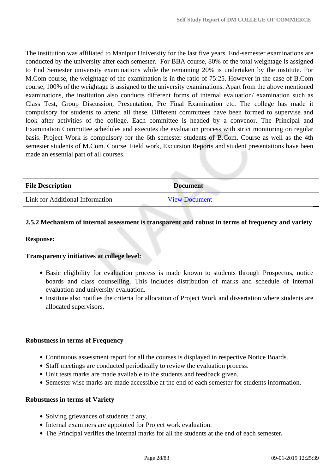The institution was affiliated to Manipur University for the last five years. End-semester examinations are conducted by the university after each semester. For BBA course, 80% of the total weightage is assigned to End Semester university examinations while the remaining 20% is undertaken by the institute. For M.Com course, the weightage of the examination is in the ratio of 75:25. However in the case of B.Com course, 100% of the weightage is assigned to the university examinations. Apart from the above mentioned examinations, the institution also conducts different forms of internal evaluation/ examination such as Class Test, Group Discussion, Presentation, Pre Final Examination etc. The college has made it compulsory for students to attend all these. Different committees have been formed to supervise and look after activities of the college. Each committee is headed by a convenor. The Principal and Examination Committee schedules and executes the evaluation process with strict monitoring on regular basis. Project Work is compulsory for the 6th semester students of B.Com. Course as well as the 4th semester students of M.Com. Course. Field work, Excursion Reports and student presentations have been made an essential part of all courses.

| <b>File Description</b>         | <b>Document</b>      |
|---------------------------------|----------------------|
| Link for Additional Information | <b>View Document</b> |

# **2.5.2 Mechanism of internal assessment is transparent and robust in terms of frequency and variety**

#### **Response:**

#### **Transparency initiatives at college level:**

- Basic eligibility for evaluation process is made known to students through Prospectus, notice boards and class counselling. This includes distribution of marks and schedule of internal evaluation and university evaluation.
- Institute also notifies the criteria for allocation of Project Work and dissertation where students are allocated supervisors.

#### **Robustness in terms of Frequency**

- Continuous assessment report for all the courses is displayed in respective Notice Boards.
- Staff meetings are conducted periodically to review the evaluation process.
- Unit tests marks are made available to the students and feedback given.
- Semester wise marks are made accessible at the end of each semester for students information.

#### **Robustness in terms of Variety**

- Solving grievances of students if any.
- Internal examiners are appointed for Project work evaluation.
- The Principal verifies the internal marks for all the students at the end of each semester**.**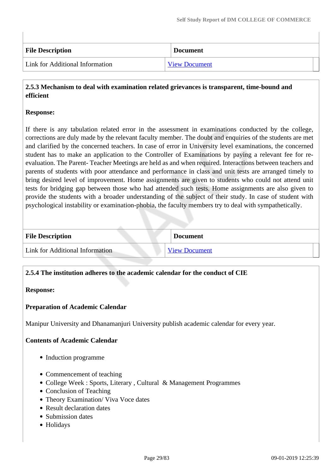| <b>File Description</b>                | <b>Document</b>      |
|----------------------------------------|----------------------|
| <b>Link for Additional Information</b> | <b>View Document</b> |

# **2.5.3 Mechanism to deal with examination related grievances is transparent, time-bound and efficient**

# **Response:**

If there is any tabulation related error in the assessment in examinations conducted by the college, corrections are duly made by the relevant faculty member. The doubt and enquiries of the students are met and clarified by the concerned teachers. In case of error in University level examinations, the concerned student has to make an application to the Controller of Examinations by paying a relevant fee for reevaluation. The Parent- Teacher Meetings are held as and when required. Interactions between teachers and parents of students with poor attendance and performance in class and unit tests are arranged timely to bring desired level of improvement. Home assignments are given to students who could not attend unit tests for bridging gap between those who had attended such tests. Home assignments are also given to provide the students with a broader understanding of the subject of their study. In case of student with psychological instability or examination-phobia, the faculty members try to deal with sympathetically.

| <b>File Description</b>         | <b>Document</b>      |
|---------------------------------|----------------------|
| Link for Additional Information | <b>View Document</b> |

# **2.5.4 The institution adheres to the academic calendar for the conduct of CIE**

#### **Response:**

# **Preparation of Academic Calendar**

Manipur University and Dhanamanjuri University publish academic calendar for every year.

#### **Contents of Academic Calendar**

- Induction programme
- Commencement of teaching
- College Week : Sports, Literary, Cultural & Management Programmes
- Conclusion of Teaching
- Theory Examination/ Viva Voce dates
- Result declaration dates
- Submission dates
- Holidays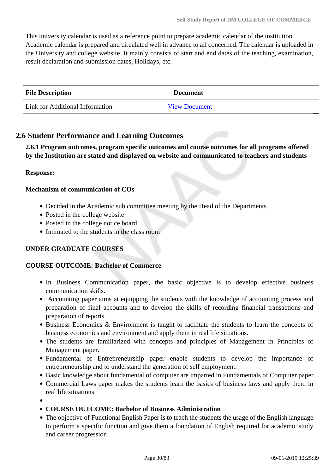This university calendar is used as a reference point to prepare academic calendar of the institution. Academic calendar is prepared and circulated well in advance to all concerned. The calendar is uploaded in the University and college website. It mainly consists of start and end dates of the teaching, examination, result declaration and submission dates, Holidays, etc.

| <b>File Description</b>         | <b>Document</b>      |
|---------------------------------|----------------------|
| Link for Additional Information | <b>View Document</b> |

# **2.6 Student Performance and Learning Outcomes**

 **2.6.1 Program outcomes, program specific outcomes and course outcomes for all programs offered by the Institution are stated and displayed on website and communicated to teachers and students**

**Response:** 

### **Mechanism of communication of COs**

- Decided in the Academic sub committee meeting by the Head of the Departments
- Posted in the college website
- Posted in the college notice board
- Intimated to the students in the class room

# **UNDER GRADUATE COURSES**

# **COURSE OUTCOME: Bachelor of Commerce**

- In Business Communication paper, the basic objective is to develop effective business communication skills.
- Accounting paper aims at equipping the students with the knowledge of accounting process and preparation of final accounts and to develop the skills of recording financial transactions and preparation of reports.
- Business Economics & Environment is taught to facilitate the students to learn the concepts of business economics and environment and apply them in real life situations.
- The students are familiarized with concepts and principles of Management in Principles of Management paper.
- Fundamental of Entrepreneurship paper enable students to develop the importance of entrepreneurship and to understand the generation of self employment.
- Basic knowledge about fundamental of computer are imparted in Fundamentals of Computer paper.
- Commercial Laws paper makes the students learn the basics of business laws and apply them in real life situations
- 

**COURSE OUTCOME: Bachelor of Business Administration** 

• The objective of Functional English Paper is to teach the students the usage of the English language to perform a specific function and give them a foundation of English required for academic study and career progression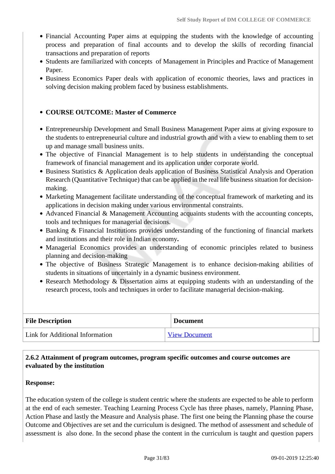- Financial Accounting Paper aims at equipping the students with the knowledge of accounting process and preparation of final accounts and to develop the skills of recording financial transactions and preparation of reports
- Students are familiarized with concepts of Management in Principles and Practice of Management Paper.
- Business Economics Paper deals with application of economic theories, laws and practices in solving decision making problem faced by business establishments.

# **COURSE OUTCOME: Master of Commerce**

- Entrepreneurship Development and Small Business Management Paper aims at giving exposure to the students to entrepreneurial culture and industrial growth and with a view to enabling them to set up and manage small business units.
- The objective of Financial Management is to help students in understanding the conceptual framework of financial management and its application under corporate world.
- Business Statistics & Application deals application of Business Statistical Analysis and Operation Research (Quantitative Technique) that can be applied in the real life business situation for decisionmaking.
- Marketing Management facilitate understanding of the conceptual framework of marketing and its applications in decision making under various environmental constraints.
- Advanced Financial & Management Accounting acquaints students with the accounting concepts, tools and techniques for managerial decisions.
- Banking & Financial Institutions provides understanding of the functioning of financial markets and institutions and their role in Indian economy**.**
- Managerial Economics provides an understanding of economic principles related to business planning and decision-making
- The objective of Business Strategic Management is to enhance decision-making abilities of students in situations of uncertainly in a dynamic business environment.
- Research Methodology & Dissertation aims at equipping students with an understanding of the research process, tools and techniques in order to facilitate managerial decision-making.

| <b>File Description</b>         | <b>Document</b>      |
|---------------------------------|----------------------|
| Link for Additional Information | <b>View Document</b> |

# **2.6.2 Attainment of program outcomes, program specific outcomes and course outcomes are evaluated by the institution**

# **Response:**

The education system of the college is student centric where the students are expected to be able to perform at the end of each semester. Teaching Learning Process Cycle has three phases, namely, Planning Phase, Action Phase and lastly the Measure and Analysis phase. The first one being the Planning phase the course Outcome and Objectives are set and the curriculum is designed. The method of assessment and schedule of assessment is also done. In the second phase the content in the curriculum is taught and question papers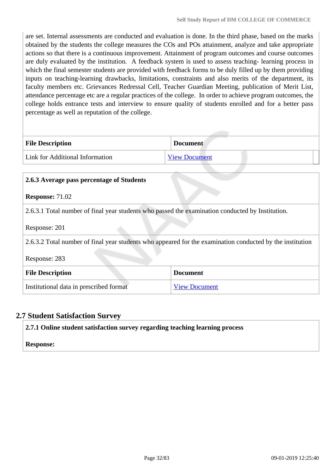are set. Internal assessments are conducted and evaluation is done. In the third phase, based on the marks obtained by the students the college measures the COs and POs attainment, analyze and take appropriate actions so that there is a continuous improvement. Attainment of program outcomes and course outcomes are duly evaluated by the institution. A feedback system is used to assess teaching- learning process in which the final semester students are provided with feedback forms to be duly filled up by them providing inputs on teaching-learning drawbacks, limitations, constraints and also merits of the department, its faculty members etc. Grievances Redressal Cell, Teacher Guardian Meeting, publication of Merit List, attendance percentage etc are a regular practices of the college. In order to achieve program outcomes, the college holds entrance tests and interview to ensure quality of students enrolled and for a better pass percentage as well as reputation of the college.

| <b>File Description</b>         | <b>Document</b>      |
|---------------------------------|----------------------|
| Link for Additional Information | <b>View Document</b> |

### **2.6.3 Average pass percentage of Students**

#### **Response:** 71.02

2.6.3.1 Total number of final year students who passed the examination conducted by Institution.

#### Response: 201

2.6.3.2 Total number of final year students who appeared for the examination conducted by the institution

Response: 283

| <b>File Description</b>                 | <b>Document</b>      |
|-----------------------------------------|----------------------|
| Institutional data in prescribed format | <b>View Document</b> |

# **2.7 Student Satisfaction Survey**

**2.7.1 Online student satisfaction survey regarding teaching learning process**

#### **Response:**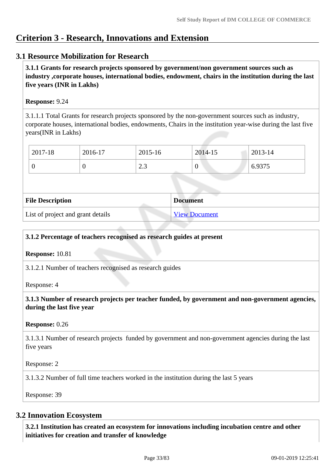# **Criterion 3 - Research, Innovations and Extension**

# **3.1 Resource Mobilization for Research**

 **3.1.1 Grants for research projects sponsored by government/non government sources such as industry ,corporate houses, international bodies, endowment, chairs in the institution during the last five years (INR in Lakhs)** 

### **Response:** 9.24

3.1.1.1 Total Grants for research projects sponsored by the non-government sources such as industry, corporate houses, international bodies, endowments, Chairs in the institution year-wise during the last five years(INR in Lakhs)

| 2017-18 | 2016-17 | 2015-16              | 2014-15 | 2013-14 |
|---------|---------|----------------------|---------|---------|
|         | ν       | $\sim$ $\sim$<br>ن ک | 0       | 6.9375  |

| <b>File Description</b>           | <b>Document</b>      |
|-----------------------------------|----------------------|
| List of project and grant details | <b>View Document</b> |

### **3.1.2 Percentage of teachers recognised as research guides at present**

**Response:** 10.81

3.1.2.1 Number of teachers recognised as research guides

Response: 4

 **3.1.3 Number of research projects per teacher funded, by government and non-government agencies, during the last five year**

**Response:** 0.26

3.1.3.1 Number of research projects funded by government and non-government agencies during the last five years

Response: 2

3.1.3.2 Number of full time teachers worked in the institution during the last 5 years

Response: 39

# **3.2 Innovation Ecosystem**

 **3.2.1 Institution has created an ecosystem for innovations including incubation centre and other initiatives for creation and transfer of knowledge**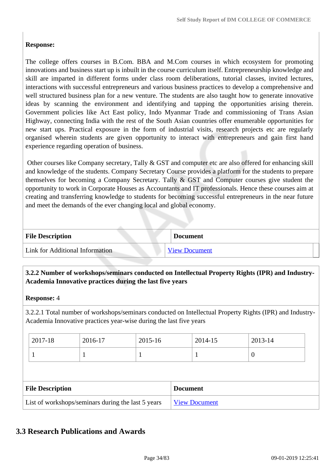# **Response:**

The college offers courses in B.Com. BBA and M.Com courses in which ecosystem for promoting innovations and business start up is inbuilt in the course curriculum itself. Entrepreneurship knowledge and skill are imparted in different forms under class room deliberations, tutorial classes, invited lectures, interactions with successful entrepreneurs and various business practices to develop a comprehensive and well structured business plan for a new venture. The students are also taught how to generate innovative ideas by scanning the environment and identifying and tapping the opportunities arising therein. Government policies like Act East policy, Indo Myanmar Trade and commissioning of Trans Asian Highway, connecting India with the rest of the South Asian countries offer enumerable opportunities for new start ups. Practical exposure in the form of industrial visits, research projects etc are regularly organised wherein students are given opportunity to interact with entrepreneurs and gain first hand experience regarding operation of business.

 Other courses like Company secretary, Tally & GST and computer etc are also offered for enhancing skill and knowledge of the students. Company Secretary Course provides a platform for the students to prepare themselves for becoming a Company Secretary. Tally & GST and Computer courses give student the opportunity to work in Corporate Houses as Accountants and IT professionals. Hence these courses aim at creating and transferring knowledge to students for becoming successful entrepreneurs in the near future and meet the demands of the ever changing local and global economy.

| <b>File Description</b>         | <b>Document</b>      |
|---------------------------------|----------------------|
| Link for Additional Information | <b>View Document</b> |

# **3.2.2 Number of workshops/seminars conducted on Intellectual Property Rights (IPR) and Industry-Academia Innovative practices during the last five years**

# **Response:** 4

3.2.2.1 Total number of workshops/seminars conducted on Intellectual Property Rights (IPR) and Industry-Academia Innovative practices year-wise during the last five years

| 2017-18                 | 2016-17 | 2015-16 |                 | 2014-15 | 2013-14  |  |
|-------------------------|---------|---------|-----------------|---------|----------|--|
|                         |         |         |                 |         | $\theta$ |  |
|                         |         |         |                 |         |          |  |
|                         |         |         |                 |         |          |  |
| <b>File Description</b> |         |         | <b>Document</b> |         |          |  |

# **3.3 Research Publications and Awards**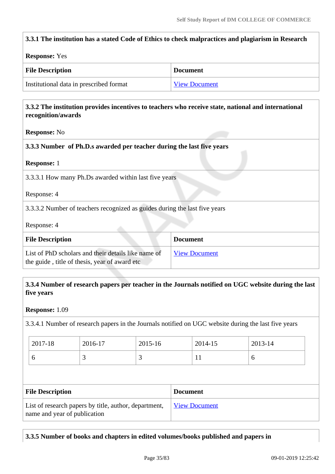| <b>Response: Yes</b>                                                                                                                |                      |
|-------------------------------------------------------------------------------------------------------------------------------------|----------------------|
| <b>File Description</b>                                                                                                             | <b>Document</b>      |
| Institutional data in prescribed format                                                                                             | <b>View Document</b> |
| 3.3.2 The institution provides incentives to teachers who receive state, national and international<br>recognition/awards           |                      |
| <b>Response: No</b>                                                                                                                 |                      |
| 3.3.3 Number of Ph.D.s awarded per teacher during the last five years                                                               |                      |
| <b>Response: 1</b>                                                                                                                  |                      |
|                                                                                                                                     |                      |
| 3.3.3.1 How many Ph.Ds awarded within last five years                                                                               |                      |
|                                                                                                                                     |                      |
|                                                                                                                                     |                      |
|                                                                                                                                     |                      |
| Response: 4<br>3.3.3.2 Number of teachers recognized as guides during the last five years<br>Response: 4<br><b>File Description</b> | <b>Document</b>      |

# **3.3.4 Number of research papers per teacher in the Journals notified on UGC website during the last five years**

#### **Response:** 1.09

3.3.4.1 Number of research papers in the Journals notified on UGC website during the last five years

| 2017-18 | 2016-17  | 2015-16 | 2014-15 | 2013-14 |
|---------|----------|---------|---------|---------|
|         | <u>ب</u> | ້       |         | ◡       |

| <b>File Description</b>                                                               | <b>Document</b>      |
|---------------------------------------------------------------------------------------|----------------------|
| List of research papers by title, author, department,<br>name and year of publication | <u>View Document</u> |

**3.3.5 Number of books and chapters in edited volumes/books published and papers in**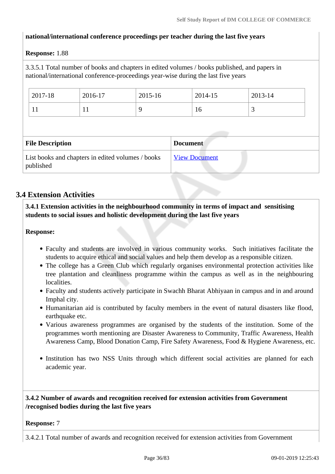### **national/international conference proceedings per teacher during the last five years**

#### **Response:** 1.88

3.3.5.1 Total number of books and chapters in edited volumes / books published, and papers in national/international conference-proceedings year-wise during the last five years

| 2017-18 | 2016-17 | 2015-16 | 2014-15 | 2013-14 |
|---------|---------|---------|---------|---------|
| T T     | . .     |         | 10      | ~       |

| <b>File Description</b>                                        | <b>Document</b>      |
|----------------------------------------------------------------|----------------------|
| List books and chapters in edited volumes / books<br>published | <b>View Document</b> |

# **3.4 Extension Activities**

 **3.4.1 Extension activities in the neighbourhood community in terms of impact and sensitising students to social issues and holistic development during the last five years**

**Response:** 

- Faculty and students are involved in various community works. Such initiatives facilitate the students to acquire ethical and social values and help them develop as a responsible citizen.
- The college has a Green Club which regularly organises environmental protection activities like tree plantation and cleanliness programme within the campus as well as in the neighbouring localities.
- Faculty and students actively participate in Swachh Bharat Abhiyaan in campus and in and around Imphal city.
- Humanitarian aid is contributed by faculty members in the event of natural disasters like flood, earthquake etc.
- Various awareness programmes are organised by the students of the institution. Some of the programmes worth mentioning are Disaster Awareness to Community, Traffic Awareness, Health Awareness Camp, Blood Donation Camp, Fire Safety Awareness, Food & Hygiene Awareness, etc.
- Institution has two NSS Units through which different social activities are planned for each academic year.

# **3.4.2 Number of awards and recognition received for extension activities from Government /recognised bodies during the last five years**

#### **Response:** 7

3.4.2.1 Total number of awards and recognition received for extension activities from Government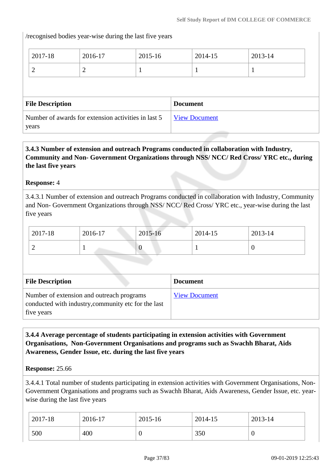/recognised bodies year-wise during the last five years

| <b>File Description</b>                             | <b>Document</b> |
|-----------------------------------------------------|-----------------|
| Number of awards for extension activities in last 5 | View Document   |
| years                                               |                 |

### **3.4.3 Number of extension and outreach Programs conducted in collaboration with Industry, Community and Non- Government Organizations through NSS/ NCC/ Red Cross/ YRC etc., during the last five years**

### **Response:** 4

3.4.3.1 Number of extension and outreach Programs conducted in collaboration with Industry, Community and Non- Government Organizations through NSS/ NCC/ Red Cross/ YRC etc., year-wise during the last five years

| 2017-18 | 2016-17 | 2015-16 | 2014-15 | 2013-14 |
|---------|---------|---------|---------|---------|
|         |         |         |         |         |

| <b>File Description</b>                                                                                        | <b>Document</b>      |
|----------------------------------------------------------------------------------------------------------------|----------------------|
| Number of extension and outreach programs<br>conducted with industry, community etc for the last<br>five years | <b>View Document</b> |

### **3.4.4 Average percentage of students participating in extension activities with Government Organisations, Non-Government Organisations and programs such as Swachh Bharat, Aids Awareness, Gender Issue, etc. during the last five years**

**Response:** 25.66

3.4.4.1 Total number of students participating in extension activities with Government Organisations, Non-Government Organisations and programs such as Swachh Bharat, Aids Awareness, Gender Issue, etc. yearwise during the last five years

| 2017-18 | 2016-17 | 2015-16 | 2014-15 | 2013-14          |
|---------|---------|---------|---------|------------------|
| 500     | 400     | U       | 350     | $\boldsymbol{0}$ |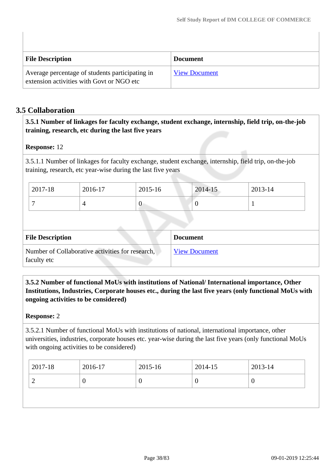| <b>File Description</b>                                                                      | <b>Document</b>      |
|----------------------------------------------------------------------------------------------|----------------------|
| Average percentage of students participating in<br>extension activities with Govt or NGO etc | <b>View Document</b> |

## **3.5 Collaboration**

 **3.5.1 Number of linkages for faculty exchange, student exchange, internship, field trip, on-the-job training, research, etc during the last five years**

### **Response:** 12

3.5.1.1 Number of linkages for faculty exchange, student exchange, internship, field trip, on-the-job training, research, etc year-wise during the last five years

| $^{\circ}$ 2017-18 | 2016-17 | 2015-16 | 2014-15 | 2013-14 |
|--------------------|---------|---------|---------|---------|
|                    |         | v       | ν       |         |

| <b>File Description</b>                                         | <b>Document</b>      |
|-----------------------------------------------------------------|----------------------|
| Number of Collaborative activities for research,<br>faculty etc | <b>View Document</b> |

 **3.5.2 Number of functional MoUs with institutions of National/ International importance, Other Institutions, Industries, Corporate houses etc., during the last five years (only functional MoUs with ongoing activities to be considered)** 

### **Response:** 2

3.5.2.1 Number of functional MoUs with institutions of national, international importance, other universities, industries, corporate houses etc. year-wise during the last five years (only functional MoUs with ongoing activities to be considered)

| $\frac{1}{2017}$ -18 | 2016-17 | 2015-16 | $2014 - 15$ | $12013 - 14$ |
|----------------------|---------|---------|-------------|--------------|
| ∼                    |         | υ       |             |              |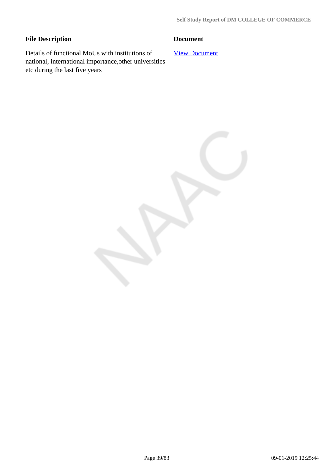| <b>File Description</b>                                                                                                                     | <b>Document</b>      |
|---------------------------------------------------------------------------------------------------------------------------------------------|----------------------|
| Details of functional MoUs with institutions of<br>national, international importance, other universities<br>etc during the last five years | <b>View Document</b> |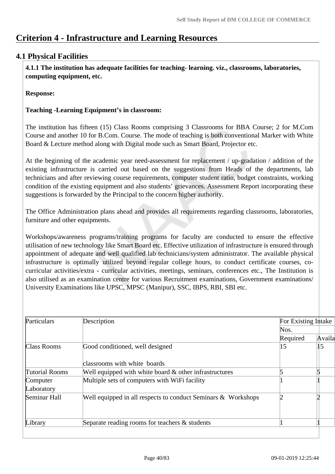# **Criterion 4 - Infrastructure and Learning Resources**

## **4.1 Physical Facilities**

 **4.1.1 The institution has adequate facilities for teaching- learning. viz., classrooms, laboratories, computing equipment, etc.**

**Response:** 

### **Teaching -Learning Equipment's in classroom:**

The institution has fifteen (15) Class Rooms comprising 3 Classrooms for BBA Course; 2 for M.Com Course and another 10 for B.Com. Course. The mode of teaching is both conventional Marker with White Board & Lecture method along with Digital mode such as Smart Board, Projector etc.

At the beginning of the academic year need-assessment for replacement / up-gradation / addition of the existing infrastructure is carried out based on the suggestions from Heads of the departments, lab technicians and after reviewing course requirements, computer student ratio, budget constraints, working condition of the existing equipment and also students' grievances. Assessment Report incorporating these suggestions is forwarded by the Principal to the concern higher authority.

The Office Administration plans ahead and provides all requirements regarding classrooms, laboratories, furniture and other equipments.

Workshops/awareness programs/training programs for faculty are conducted to ensure the effective utilisation of new technology like Smart Board etc. Effective utilization of infrastructure is ensured through appointment of adequate and well qualified lab technicians/system administrator. The available physical infrastructure is optimally utilized beyond regular college hours, to conduct certificate courses, cocurricular activities/extra - curricular activities, meetings, seminars, conferences etc., The Institution is also utilised as an examination centre for various Recruitment examinations, Government examinations/ University Examinations like UPSC, MPSC (Manipur), SSC, IBPS, RBI, SBI etc.

| Particulars        | Description                                                      | For Existing Intake |        |
|--------------------|------------------------------------------------------------------|---------------------|--------|
|                    |                                                                  | Nos.                |        |
|                    |                                                                  | Required            | Availa |
| <b>Class Rooms</b> | Good conditioned, well designed                                  | 15                  | 15     |
|                    | classrooms with white boards                                     |                     |        |
| Tutorial Rooms     | Well equipped with white board $\&$ other infrastructures        |                     |        |
| Computer           | Multiple sets of computers with WiFi facility                    |                     |        |
| Laboratory         |                                                                  |                     |        |
| Seminar Hall       | Well equipped in all respects to conduct Seminars $\&$ Workshops |                     |        |
| Library            | Separate reading rooms for teachers $\&$ students                |                     |        |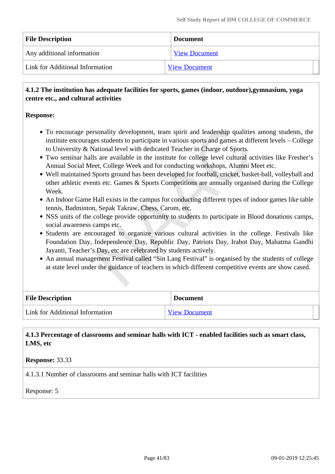| <b>File Description</b>         | <b>Document</b>      |
|---------------------------------|----------------------|
| Any additional information      | <b>View Document</b> |
| Link for Additional Information | <b>View Document</b> |

### **4.1.2 The institution has adequate facilities for sports, games (indoor, outdoor),gymnasium, yoga centre etc., and cultural activities**

#### **Response:**

- To encourage personality development, team spirit and leadership qualities among students, the institute encourages students to participate in various sports and games at different levels – College to University & National level with dedicated Teacher in Charge of Sports.
- Two seminar halls are available in the institute for college level cultural activities like Fresher's Annual Social Meet, College Week and for conducting workshops, Alumni Meet etc.
- Well maintained Sports ground has been developed for football, cricket, basket-ball, volleyball and other athletic events etc. Games & Sports Competitions are annually organised during the College Week.
- An Indoor Game Hall exists in the campus for conducting different types of indoor games like table tennis, Badminton, Sepak Takraw, Chess, Carom, etc.
- NSS units of the college provide opportunity to students to participate in Blood donations camps, social awareness camps etc.
- Students are encouraged to organize various cultural activities in the college. Festivals like Foundation Day, Independence Day, Republic Day, Patriots Day, Irabot Day, Mahatma Gandhi Jayanti, Teacher's Day, etc are celebrated by students actively.
- An annual management Festival called "Sin Lang Festival" is organised by the students of college at state level under the guidance of teachers in which different competitive events are show cased.

| <b>File Description</b>         | <b>Document</b>      |
|---------------------------------|----------------------|
| Link for Additional Information | <b>View Document</b> |

 **4.1.3 Percentage of classrooms and seminar halls with ICT - enabled facilities such as smart class, LMS, etc**

#### **Response:** 33.33

4.1.3.1 Number of classrooms and seminar halls with ICT facilities

Response: 5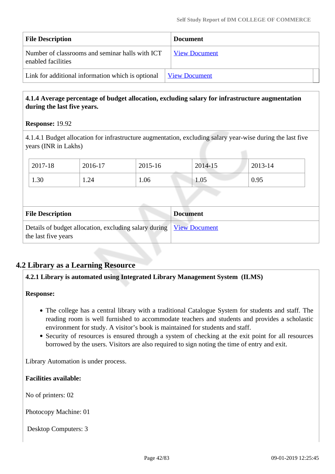| <b>File Description</b>                                               | <b>Document</b>      |
|-----------------------------------------------------------------------|----------------------|
| Number of classrooms and seminar halls with ICT<br>enabled facilities | <b>View Document</b> |
| Link for additional information which is optional                     | <b>View Document</b> |

### **4.1.4 Average percentage of budget allocation, excluding salary for infrastructure augmentation during the last five years.**

#### **Response:** 19.92

4.1.4.1 Budget allocation for infrastructure augmentation, excluding salary year-wise during the last five years (INR in Lakhs)

| 2017-18                 | 2016-17 | 2015-16 | 2014-15         | 2013-14 |  |
|-------------------------|---------|---------|-----------------|---------|--|
| 1.30                    | 1.24    | 1.06    | 1.05            | 0.95    |  |
|                         |         |         |                 |         |  |
|                         |         |         |                 |         |  |
| <b>File Description</b> |         |         | <b>Document</b> |         |  |

## **4.2 Library as a Learning Resource**

### **4.2.1 Library is automated using Integrated Library Management System (ILMS)**

#### **Response:**

- The college has a central library with a traditional Catalogue System for students and staff. The reading room is well furnished to accommodate teachers and students and provides a scholastic environment for study. A visitor's book is maintained for students and staff.
- Security of resources is ensured through a system of checking at the exit point for all resources borrowed by the users. Visitors are also required to sign noting the time of entry and exit.

Library Automation is under process.

#### **Facilities available:**

No of printers: 02

Photocopy Machine: 01

Desktop Computers: 3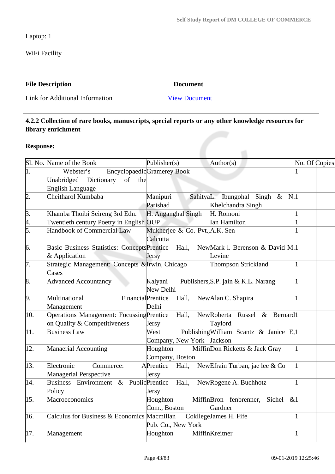Laptop: 1

WiFi Facility

| <b>File Description</b>         | <b>Document</b>      |
|---------------------------------|----------------------|
| Link for Additional Information | <b>View Document</b> |

### **4.2.2 Collection of rare books, manuscripts, special reports or any other knowledge resources for library enrichment**

**Response:** 

|                  | Sl. No. Name of the Book                                                                           | Publisher $(s)$                            | Author(s)                                |             | No. Of Copies |
|------------------|----------------------------------------------------------------------------------------------------|--------------------------------------------|------------------------------------------|-------------|---------------|
| $\vert$ 1.       | Webster's                                                                                          | <b>EncyclopaedicGramerey Book</b>          |                                          |             |               |
|                  | Unabridged Dictionary of the                                                                       |                                            |                                          |             |               |
|                  | <b>English Language</b>                                                                            |                                            |                                          |             |               |
| þ.               | Cheitharol Kumbaba                                                                                 | Manipuri                                   | SahityaL. Ibungohal Singh & N. 1         |             |               |
|                  |                                                                                                    | Parishad                                   | Khelchandra Singh                        |             |               |
| $\frac{3}{4}$ .  | Khamba Thoibi Seireng 3rd Edn.                                                                     | H. Anganghal Singh                         | H. Romoni                                |             |               |
|                  | Twentieth century Poetry in English OUP                                                            |                                            | Ian Hamilton                             |             |               |
| $\overline{5}$ . | <b>Handbook of Commercial Law</b>                                                                  | Mukherjee & Co. Pvt., A.K. Sen<br>Calcutta |                                          |             |               |
| 6.               | Basic Business Statistics: ConceptsPrentice Hall, NewMark 1. Berenson & David M.1<br>& Application | <b>Jersy</b>                               | Levine                                   |             |               |
| 17.              | Strategic Management: Concepts & Irwin, Chicago<br>Cases                                           |                                            | Thompson Strickland                      |             |               |
| 8.               | <b>Advanced Accountancy</b>                                                                        | Kalyani<br>New Delhi                       | Publishers, S.P. jain & K.L. Narang      |             |               |
| $\beta$ .        | Multinational                                                                                      | FinancialPrentice Hall,                    | New Alan C. Shapira                      |             |               |
|                  | Management                                                                                         | Delhi                                      |                                          |             |               |
| 10.              | Operations Management: Focussing Prentice Hall,                                                    |                                            | NewRoberta Russel & Bernard <sup>1</sup> |             |               |
|                  | on Quality & Competitiveness                                                                       | Jersy                                      | Taylord                                  |             |               |
| 11.              | <b>Business Law</b>                                                                                | West<br>Company, New York Jackson          | Publishing William Scantz & Janice E, 1  |             |               |
| 12.              | <b>Manaerial Accounting</b>                                                                        | Houghton<br>Company, Boston                | MiffinDon Ricketts & Jack Gray           | $\mathbf 1$ |               |
| 13.              | Electronic<br>Commerce:<br>Managerial Perspective                                                  | APrentice Hall,<br>Jersy                   | NewEfrain Turban, jae lee & Co           | $\vert$ 1   |               |
| 14.              | Business Environment & PublicPrentice<br>Policy                                                    | Hall,<br>Jersy                             | NewRogene A. Buchhotz                    |             |               |
| 15.              | Macroeconomics                                                                                     | Houghton<br>Com., Boston                   | MiffinBron fenbrenner, Sichel<br>Gardner | $\&1$       |               |
| 16.              | Calculus for Business & Economics Macmillan                                                        | Pub. Co., New York                         | CokllegeJames H. Fife                    |             |               |
| 17.              | Management                                                                                         | Houghton                                   | MiffinKreitner                           |             |               |
|                  |                                                                                                    |                                            |                                          |             |               |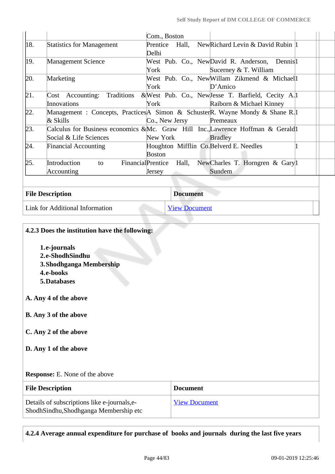|              |                                                                                                           | Com., Boston                      |                      |                                         |                                                                                     |  |
|--------------|-----------------------------------------------------------------------------------------------------------|-----------------------------------|----------------------|-----------------------------------------|-------------------------------------------------------------------------------------|--|
| 18.          | <b>Statistics for Management</b>                                                                          | Delhi                             |                      |                                         | Prentice Hall, NewRichard Levin & David Rubin 1                                     |  |
| 19.          | <b>Management Science</b>                                                                                 | York                              |                      |                                         | West Pub. Co., NewDavid R. Anderson, Dennis <sup>1</sup><br>Sucerney $&$ T. William |  |
| 20.          | Marketing                                                                                                 | York                              |                      | D'Amico                                 | West Pub. Co., New Willam Zikmend & Michaell                                        |  |
| $\varrho$ 1. | Cost Accounting: Traditions & West Pub. Co., New Jesse T. Barfield, Cecity A. 1<br><b>Innovations</b>     | York                              |                      |                                         | Raiborn & Michael Kinney                                                            |  |
| 22.          | Management : Concepts, Practices A Simon & Schuster R. Wayne Mondy & Shane R. 1<br>& Skills               | Co., New Jersy                    |                      | Premeaux                                |                                                                                     |  |
| 23.          | Calculus for Business economics &Mc. Graw Hill Inc., Lawrence Hoffman & Gerald1<br>Social & Life Sciences | New York                          |                      | <b>Bradley</b>                          |                                                                                     |  |
| 24.          | <b>Financial Accounting</b>                                                                               | <b>Boston</b>                     |                      | Houghton Mifflin Co. Belverd E. Needles |                                                                                     |  |
| 25.          | Introduction<br>to<br>Accounting                                                                          | FinancialPrentice Hall,<br>Jersey |                      | Sundem                                  | NewCharles T. Horngren & Gary <sup>[1]</sup>                                        |  |
|              |                                                                                                           |                                   |                      |                                         |                                                                                     |  |
|              | <b>File Description</b>                                                                                   |                                   | <b>Document</b>      |                                         |                                                                                     |  |
|              | Link for Additional Information                                                                           |                                   | <b>View Document</b> |                                         |                                                                                     |  |

| 4.2.3 Does the institution have the following:                                           |                      |
|------------------------------------------------------------------------------------------|----------------------|
| 1.e-journals<br>2.e-ShodhSindhu<br>3. Shodhganga Membership<br>4.e-books<br>5. Databases |                      |
| A. Any 4 of the above                                                                    |                      |
| <b>B.</b> Any 3 of the above                                                             |                      |
| C. Any 2 of the above                                                                    |                      |
| D. Any 1 of the above                                                                    |                      |
| <b>Response:</b> E. None of the above                                                    |                      |
| <b>File Description</b>                                                                  | <b>Document</b>      |
| Details of subscriptions like e-journals, e-<br>ShodhSindhu,Shodhganga Membership etc    | <b>View Document</b> |

**4.2.4 Average annual expenditure for purchase of books and journals during the last five years**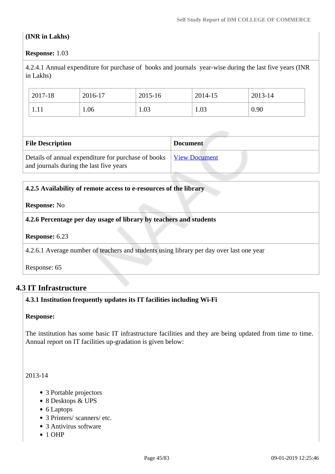### **(INR in Lakhs)**

### **Response:** 1.03

4.2.4.1 Annual expenditure for purchase of books and journals year-wise during the last five years (INR in Lakhs)

| 2017-18 | 2016-17 | 2015-16 | 2014-15 | 2013-14 |
|---------|---------|---------|---------|---------|
| 1.11    | 1.06    | 1.03    | 1.03    | 0.90    |

| <b>File Description</b>                                                                                               | <b>Document</b> |
|-----------------------------------------------------------------------------------------------------------------------|-----------------|
| Details of annual expenditure for purchase of books   <u>View Document</u><br>and journals during the last five years |                 |

#### **4.2.5 Availability of remote access to e-resources of the library**

#### **Response:** No

### **4.2.6 Percentage per day usage of library by teachers and students**

#### **Response:** 6.23

4.2.6.1 Average number of teachers and students using library per day over last one year

Response: 65

### **4.3 IT Infrastructure**

### **4.3.1 Institution frequently updates its IT facilities including Wi-Fi**

#### **Response:**

The institution has some basic IT infrastructure facilities and they are being updated from time to time. Annual report on IT facilities up-gradation is given below:

2013-14

- 3 Portable projectors
- 8 Desktops & UPS
- 6 Laptops
- 3 Printers/ scanners/ etc.
- 3 Antivirus software
- $\bullet$  1 OHP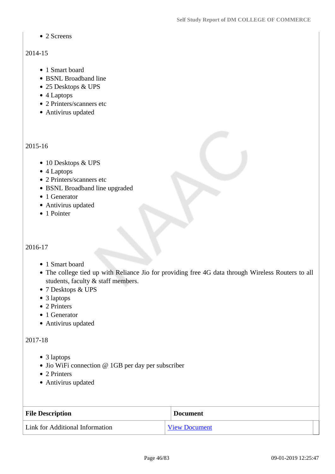• 2 Screens

### 2014-15

- 1 Smart board
- BSNL Broadband line
- 25 Desktops & UPS
- 4 Laptops
- 2 Printers/scanners etc
- Antivirus updated

#### 2015-16

- 10 Desktops & UPS
- 4 Laptops
- 2 Printers/scanners etc
- BSNL Broadband line upgraded
- 1 Generator
- Antivirus updated
- 1 Pointer

### 2016-17

- 1 Smart board
- The college tied up with Reliance Jio for providing free 4G data through Wireless Routers to all students, faculty & staff members.
- 7 Desktops & UPS
- 3 laptops
- 2 Printers
- 1 Generator
- Antivirus updated

### 2017-18

- 3 laptops
- Jio WiFi connection @ 1GB per day per subscriber
- 2 Printers
- Antivirus updated

| <b>File Description</b>         | <b>Document</b>      |
|---------------------------------|----------------------|
| Link for Additional Information | <b>View Document</b> |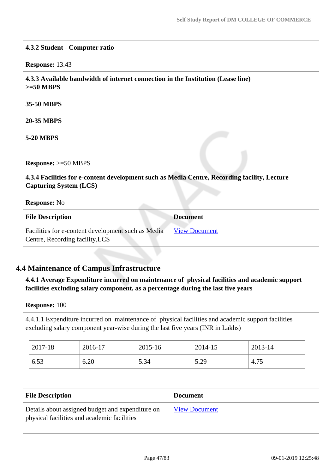| 4.3.2 Student - Computer ratio                                                                                                |                      |
|-------------------------------------------------------------------------------------------------------------------------------|----------------------|
| Response: 13.43                                                                                                               |                      |
| 4.3.3 Available bandwidth of internet connection in the Institution (Lease line)<br>$>=50$ MBPS                               |                      |
| <b>35-50 MBPS</b>                                                                                                             |                      |
| <b>20-35 MBPS</b>                                                                                                             |                      |
| <b>5-20 MBPS</b>                                                                                                              |                      |
| <b>Response: &gt;=50 MBPS</b>                                                                                                 |                      |
| 4.3.4 Facilities for e-content development such as Media Centre, Recording facility, Lecture<br><b>Capturing System (LCS)</b> |                      |
| <b>Response: No</b>                                                                                                           |                      |
| <b>File Description</b>                                                                                                       | <b>Document</b>      |
| Facilities for e-content development such as Media<br>Centre, Recording facility, LCS                                         | <b>View Document</b> |
|                                                                                                                               |                      |

### **4.4 Maintenance of Campus Infrastructure**

 **4.4.1 Average Expenditure incurred on maintenance of physical facilities and academic support facilities excluding salary component, as a percentage during the last five years**

#### **Response:** 100

4.4.1.1 Expenditure incurred on maintenance of physical facilities and academic support facilities excluding salary component year-wise during the last five years (INR in Lakhs)

| 2017-18 | 2016-17 | 2015-16 | 2014-15 | 2013-14 |
|---------|---------|---------|---------|---------|
| 6.53    | 6.20    | 5.34    | 5.29    | 4.1     |

| <b>File Description</b>                                                                         | <b>Document</b>      |
|-------------------------------------------------------------------------------------------------|----------------------|
| Details about assigned budget and expenditure on<br>physical facilities and academic facilities | <b>View Document</b> |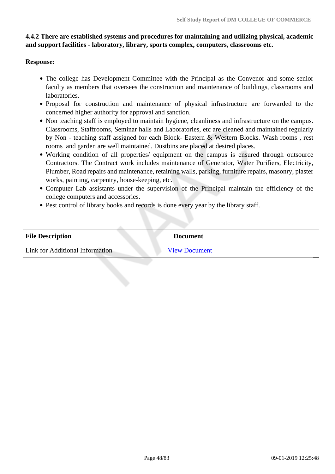### **4.4.2 There are established systems and procedures for maintaining and utilizing physical, academic and support facilities - laboratory, library, sports complex, computers, classrooms etc.**

#### **Response:**

- The college has Development Committee with the Principal as the Convenor and some senior faculty as members that oversees the construction and maintenance of buildings, classrooms and laboratories.
- Proposal for construction and maintenance of physical infrastructure are forwarded to the concerned higher authority for approval and sanction.
- Non teaching staff is employed to maintain hygiene, cleanliness and infrastructure on the campus. Classrooms, Staffrooms, Seminar halls and Laboratories, etc are cleaned and maintained regularly by Non - teaching staff assigned for each Block- Eastern & Western Blocks. Wash rooms , rest rooms and garden are well maintained. Dustbins are placed at desired places.
- Working condition of all properties/ equipment on the campus is ensured through outsource Contractors. The Contract work includes maintenance of Generator, Water Purifiers, Electricity, Plumber, Road repairs and maintenance, retaining walls, parking, furniture repairs, masonry, plaster works, painting, carpentry, house-keeping, etc.
- Computer Lab assistants under the supervision of the Principal maintain the efficiency of the college computers and accessories.
- Pest control of library books and records is done every year by the library staff.

| <b>File Description</b>         | <b>Document</b>      |
|---------------------------------|----------------------|
| Link for Additional Information | <b>View Document</b> |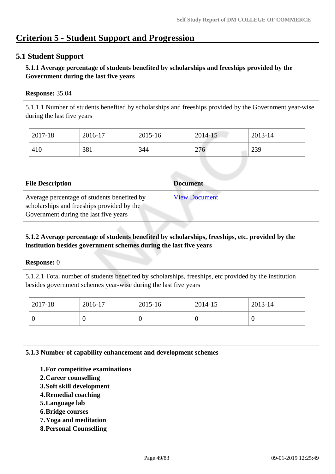# **Criterion 5 - Student Support and Progression**

### **5.1 Student Support**

### **5.1.1 Average percentage of students benefited by scholarships and freeships provided by the Government during the last five years**

### **Response:** 35.04

5.1.1.1 Number of students benefited by scholarships and freeships provided by the Government year-wise during the last five years

| $2017 - 18$ | 2016-17 | 2015-16 | 2014-15 | 2013-14 |
|-------------|---------|---------|---------|---------|
| 410         | 381     | 344     | 276     | 239     |

| <b>File Description</b>                                                                                                            | <b>Document</b>      |
|------------------------------------------------------------------------------------------------------------------------------------|----------------------|
| Average percentage of students benefited by<br>scholarships and freeships provided by the<br>Government during the last five years | <b>View Document</b> |

### **5.1.2 Average percentage of students benefited by scholarships, freeships, etc. provided by the institution besides government schemes during the last five years**

#### **Response:** 0

5.1.2.1 Total number of students benefited by scholarships, freeships, etc provided by the institution besides government schemes year-wise during the last five years

| $2017 - 18$ | 2016-17 | 2015-16 | 2014-15 | 2013-14 |
|-------------|---------|---------|---------|---------|
|             | ν       | U       |         | ν       |

**5.1.3 Number of capability enhancement and development schemes –**

- **1.For competitive examinations**
- **2.Career counselling**
- **3.Soft skill development**
- **4.Remedial coaching**
- **5.Language lab**
- **6.Bridge courses**
- **7.Yoga and meditation**
- **8.Personal Counselling**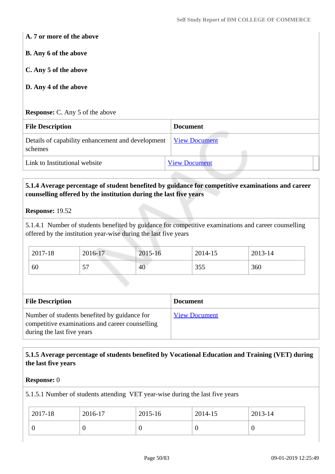**A. 7 or more of the above**

**B. Any 6 of the above**

**C. Any 5 of the above**

### **D. Any 4 of the above**

**Response:** C. Any 5 of the above

| <b>File Description</b>                                      | <b>Document</b>      |
|--------------------------------------------------------------|----------------------|
| Details of capability enhancement and development<br>schemes | <b>View Document</b> |
| Link to Institutional website                                | <b>View Document</b> |

### **5.1.4 Average percentage of student benefited by guidance for competitive examinations and career counselling offered by the institution during the last five years**

**Response:** 19.52

5.1.4.1 Number of students benefited by guidance for competitive examinations and career counselling offered by the institution year-wise during the last five years

| 2017-18 | 2016-17                        | 2015-16 | 2014-15 | 2013-14 |
|---------|--------------------------------|---------|---------|---------|
| 60      | $\overline{\phantom{m}}$<br>ັບ | 40      | 355     | 360     |

| <b>File Description</b>                                                                                                       | <b>Document</b>      |
|-------------------------------------------------------------------------------------------------------------------------------|----------------------|
| Number of students benefited by guidance for<br>competitive examinations and career counselling<br>during the last five years | <b>View Document</b> |

### **5.1.5 Average percentage of students benefited by Vocational Education and Training (VET) during the last five years**

#### **Response:** 0

5.1.5.1 Number of students attending VET year-wise during the last five years

| 2017-18 | 2016-17 | $2015 - 16$ | 2014-15 | $2013 - 14$ |
|---------|---------|-------------|---------|-------------|
|         | ◡       | ◡           |         | $\mathbf v$ |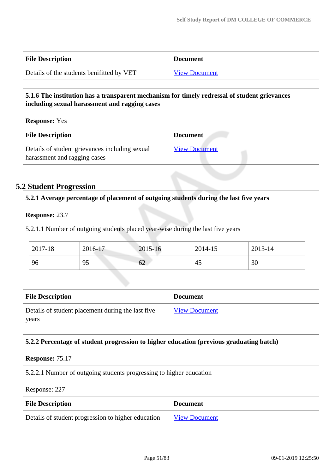| <b>File Description</b>                   | <b>Document</b>      |
|-------------------------------------------|----------------------|
| Details of the students benifitted by VET | <b>View Document</b> |

### **5.1.6 The institution has a transparent mechanism for timely redressal of student grievances including sexual harassment and ragging cases**

**Response:** Yes

| <b>File Description</b>                                                        | <b>Document</b>      |
|--------------------------------------------------------------------------------|----------------------|
| Details of student grievances including sexual<br>harassment and ragging cases | <b>View Document</b> |

### **5.2 Student Progression**

### **5.2.1 Average percentage of placement of outgoing students during the last five years**

### **Response:** 23.7

5.2.1.1 Number of outgoing students placed year-wise during the last five years

| 2017-18 | 2016-17   | 2015-16 | 2014-15 | 2013-14      |
|---------|-----------|---------|---------|--------------|
| 96      | Q٤<br>ں ر | 62      | -45     | $\sim$<br>3U |

| <b>File Description</b>                                    | <b>Document</b>      |
|------------------------------------------------------------|----------------------|
| Details of student placement during the last five<br>years | <b>View Document</b> |

### **5.2.2 Percentage of student progression to higher education (previous graduating batch)**

#### **Response:** 75.17

5.2.2.1 Number of outgoing students progressing to higher education

#### Response: 227

| <b>File Description</b>                            | <b>Document</b>      |
|----------------------------------------------------|----------------------|
| Details of student progression to higher education | <b>View Document</b> |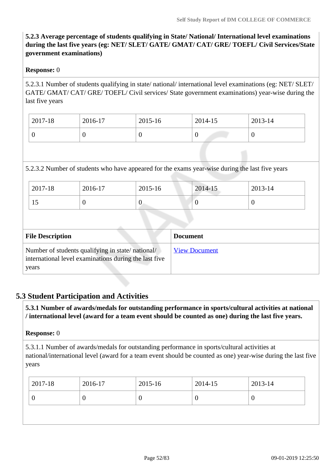### **5.2.3 Average percentage of students qualifying in State/ National/ International level examinations during the last five years (eg: NET/ SLET/ GATE/ GMAT/ CAT/ GRE/ TOEFL/ Civil Services/State government examinations)**

### **Response:** 0

5.2.3.1 Number of students qualifying in state/ national/ international level examinations (eg: NET/ SLET/ GATE/ GMAT/ CAT/ GRE/ TOEFL/ Civil services/ State government examinations) year-wise during the last five years

| 2017-18 | 2016-17 | 2015-16 | 2014-15 | 2013-14 |
|---------|---------|---------|---------|---------|
|         |         | v       |         | υ       |

### 5.2.3.2 Number of students who have appeared for the exams year-wise during the last five years

| $12017 - 18$ | 2016-17 | 2015-16 | 2014-15 | 2013-14 |
|--------------|---------|---------|---------|---------|
| ΙJ           |         |         |         |         |

| <b>File Description</b>                                                                                            | <b>Document</b>      |
|--------------------------------------------------------------------------------------------------------------------|----------------------|
| Number of students qualifying in state/national/<br>international level examinations during the last five<br>years | <b>View Document</b> |

### **5.3 Student Participation and Activities**

 **5.3.1 Number of awards/medals for outstanding performance in sports/cultural activities at national / international level (award for a team event should be counted as one) during the last five years.**

#### **Response:** 0

5.3.1.1 Number of awards/medals for outstanding performance in sports/cultural activities at national/international level (award for a team event should be counted as one) year-wise during the last five years

| 2017-18<br>2016-17<br>2014-15<br>2013-14<br>2015-16 |  |
|-----------------------------------------------------|--|
| $\boldsymbol{0}$<br>∪                               |  |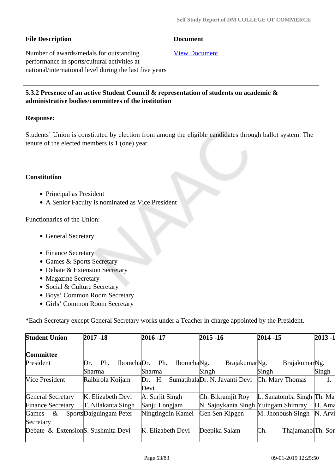| <b>File Description</b>                                                                                                                            | <b>Document</b>      |
|----------------------------------------------------------------------------------------------------------------------------------------------------|----------------------|
| Number of awards/medals for outstanding<br>performance in sports/cultural activities at<br>national/international level during the last five years | <b>View Document</b> |

### **5.3.2 Presence of an active Student Council & representation of students on academic & administrative bodies/committees of the institution**

### **Response:**

Students' Union is constituted by election from among the eligible candidates through ballot system. The tenure of the elected members is 1 (one) year.

### **Constitution**

- Principal as President
- A Senior Faculty is nominated as Vice President

Functionaries of the Union:

- General Secretary
- Finance Secretary
- Games & Sports Secretary
- Debate & Extension Secretary
- Magazine Secretary
- Social & Culture Secretary
- Boys' Common Room Secretary
- Girls' Common Room Secretary

\*Each Secretary except General Secretary works under a Teacher in charge appointed by the President.

| <b>Student Union</b>                | $2017 - 18$              | 2016 - 17                     | $2015 - 16$                         | $2014 - 15$                           | $2013 - 1$ |
|-------------------------------------|--------------------------|-------------------------------|-------------------------------------|---------------------------------------|------------|
| <b>Committee</b>                    |                          |                               |                                     |                                       |            |
| President                           | Ph.<br>IbomchaDr.<br>Dr. | Ph.<br>Ibomcha <sub>Ng.</sub> | Brajakumar <sub>Ng.</sub>           | Brajakumar <sub>Ng.</sub>             |            |
|                                     | Sharma                   | <b>Sharma</b>                 | Singh                               | Singh                                 | Singh      |
| <b>Nice President</b>               | Raibirola Koijam         | Dr. H.                        | SumatibalaDr. N. Jayanti Devi       | Ch. Mary Thomas                       | 1.         |
|                                     |                          | Devi                          |                                     |                                       |            |
| <b>General Secretary</b>            | K. Elizabeth Devi        | A. Surjit Singh               | Ch. Bikramjit Roy                   | L. Sanatomba Singh Th. Ma             |            |
| <b>Finance Secretary</b>            | T. Nilakanta Singh       | Sanju Longjam                 | N. Sajoykanta Singh Yuingam Shimray |                                       | $H.$ Ama   |
| Games<br>$\&$                       | SportsDaiguingam Peter   | Ningtingdin Kamei             | Gen Sen Kipgen                      | M. Jhonbush Singh                     | N. Arvi    |
| Secretary                           |                          |                               |                                     |                                       |            |
| Debate & Extension S. Sushmita Devi |                          | K. Elizabeth Devi             | Deepika Salam                       | Ch.<br>Thajamanbi <sup>Th</sup> . Son |            |
|                                     |                          |                               |                                     |                                       |            |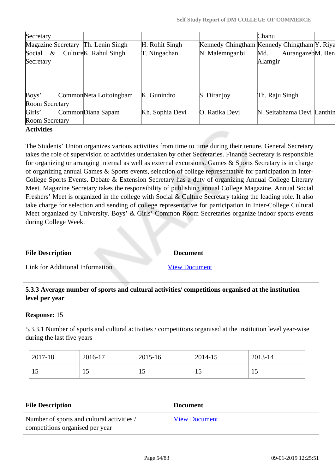| Secretary                                               |                                    |                 |                | Chanu                                       |  |
|---------------------------------------------------------|------------------------------------|-----------------|----------------|---------------------------------------------|--|
| Magazine Secretary Th. Lenin Singh                      |                                    | H. Rohit Singh  |                | Kennedy Chingtham Kennedy Chingtham Y. Riya |  |
| Social<br>$\&$                                          | Culture <sup>K</sup> . Rahul Singh | T. Ningachan    | N. Malemnganbi | AurangazebM. Ben<br>Md.                     |  |
| Secretary                                               |                                    |                 |                | Alamgir                                     |  |
|                                                         |                                    |                 |                |                                             |  |
|                                                         |                                    |                 |                |                                             |  |
|                                                         |                                    |                 |                |                                             |  |
| Boys'                                                   | CommonNeta Loitoingbam             | K. Gunindro     | S. Diranjoy    | Th. Raju Singh                              |  |
| Room Secretary                                          |                                    |                 |                |                                             |  |
| Girls'                                                  | CommonDiana Sapam                  | Kh. Sophia Devi | O. Ratika Devi | N. Seitabhama Devi Lanthin                  |  |
| Room Secretary                                          |                                    |                 |                |                                             |  |
| $\Lambda$ of $\ddot{\mathbf{u}}$ is $\ddot{\mathbf{u}}$ |                                    |                 |                |                                             |  |

### **Activities**

The Students' Union organizes various activities from time to time during their tenure. General Secretary takes the role of supervision of activities undertaken by other Secretaries. Finance Secretary is responsible for organizing or arranging internal as well as external excursions. Games & Sports Secretary is in charge of organizing annual Games & Sports events, selection of college representative for participation in Inter-College Sports Events. Debate & Extension Secretary has a duty of organizing Annual College Literary Meet. Magazine Secretary takes the responsibility of publishing annual College Magazine. Annual Social Freshers' Meet is organized in the college with Social & Culture Secretary taking the leading role. It also take charge for selection and sending of college representative for participation in Inter-College Cultural Meet organized by University. Boys' & Girls' Common Room Secretaries organize indoor sports events during College Week.

| <b>File Description</b>         | <b>Document</b>      |
|---------------------------------|----------------------|
| Link for Additional Information | <b>View Document</b> |

### **5.3.3 Average number of sports and cultural activities/ competitions organised at the institution level per year**

### **Response:** 15

5.3.3.1 Number of sports and cultural activities / competitions organised at the institution level year-wise during the last five years

| 2017-18 | 2016-17 | 2015-16 | 2014-15 | 2013-14 |
|---------|---------|---------|---------|---------|
|         | ⊥ັ      | ⊥ J     | Ψ       | ⊥ັ      |

| <b>File Description</b>                                                       | <b>Document</b>      |
|-------------------------------------------------------------------------------|----------------------|
| Number of sports and cultural activities /<br>competitions organised per year | <b>View Document</b> |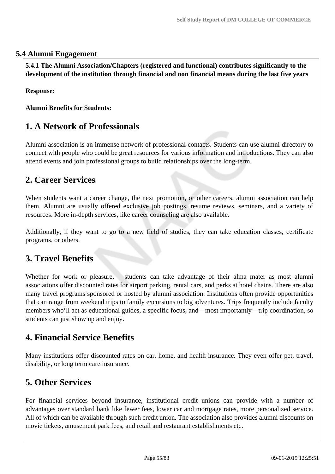### **5.4 Alumni Engagement**

 **5.4.1 The Alumni Association/Chapters (registered and functional) contributes significantly to the development of the institution through financial and non financial means during the last five years**

**Response:** 

**Alumni Benefits for Students:**

## **1. A Network of Professionals**

Alumni association is an immense network of professional contacts. Students can use alumni directory to connect with people who could be great resources for various information and introductions. They can also attend events and join professional groups to build relationships over the long-term.

# **2. Career Services**

When students want a career change, the next promotion, or other careers, alumni association can help them. Alumni are usually offered exclusive job postings, resume reviews, seminars, and a variety of resources. More in-depth services, like career counseling are also available.

Additionally, if they want to go to a new field of studies, they can take education classes, certificate programs, or others.

# **3. Travel Benefits**

Whether for work or pleasure, students can take advantage of their alma mater as most alumni associations offer discounted rates for airport parking, rental cars, and perks at hotel chains. There are also many travel programs sponsored or hosted by alumni association. Institutions often provide opportunities that can range from weekend trips to family excursions to big adventures. Trips frequently include faculty members who'll act as educational guides, a specific focus, and—most importantly—trip coordination, so students can just show up and enjoy.

# **4. Financial Service Benefits**

Many institutions offer discounted rates on car, home, and health insurance. They even offer pet, travel, disability, or long term care insurance.

# **5. Other Services**

For financial services beyond insurance, institutional credit unions can provide with a number of advantages over standard bank like fewer fees, lower car and mortgage rates, more personalized service. All of which can be available through such credit union. The association also provides alumni discounts on movie tickets, amusement park fees, and retail and restaurant establishments etc.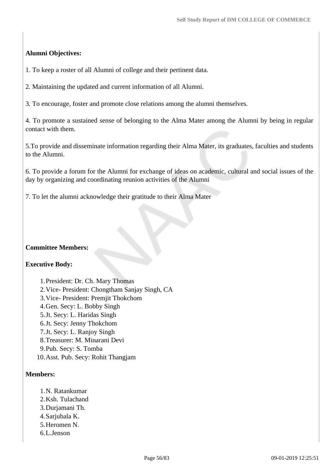### **Alumni Objectives:**

1. To keep a roster of all Alumni of college and their pertinent data.

2. Maintaining the updated and current information of all Alumni.

3. To encourage, foster and promote close relations among the alumni themselves.

4. To promote a sustained sense of belonging to the Alma Mater among the Alumni by being in regular contact with them.

5.To provide and disseminate information regarding their Alma Mater, its graduates, faculties and students to the Alumni.

6. To provide a forum for the Alumni for exchange of ideas on academic, cultural and social issues of the day by organizing and coordinating reunion activities of the Alumni

7. To let the alumni acknowledge their gratitude to their Alma Mater

### **Committee Members:**

### **Executive Body:**

1.President: Dr. Ch. Mary Thomas 2.Vice- President: Chongtham Sanjay Singh, CA 3.Vice- President: Premjit Thokchom 4.Gen. Secy: L. Bobby Singh 5.Jt. Secy: L. Haridas Singh 6.Jt. Secy: Jenny Thokchom 7.Jt. Secy: L. Ranjoy Singh 8.Treasurer: M. Minarani Devi 9.Pub. Secy: S. Tomba 10.Asst. Pub. Secy: Rohit Thangjam

### **Members:**

- 1.N. Ratankumar
- 2.Ksh. Tulachand
- 3.Durjamani Th.
- 4.Sarjubala K.
- 5.Heromen N.
- 6.L.Jenson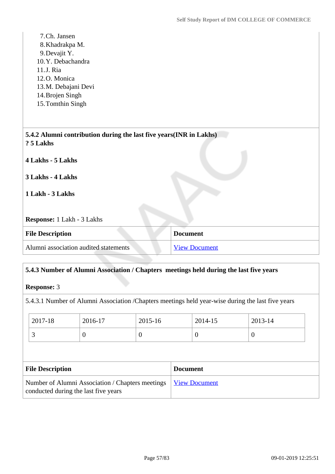|                                                                                 | <b>View Document</b> |
|---------------------------------------------------------------------------------|----------------------|
| <b>File Description</b>                                                         | <b>Document</b>      |
| Response: 1 Lakh - 3 Lakhs                                                      |                      |
|                                                                                 |                      |
| 1 Lakh - 3 Lakhs                                                                |                      |
| 3 Lakhs - 4 Lakhs                                                               |                      |
| 4 Lakhs - 5 Lakhs                                                               |                      |
| 5.4.2 Alumni contribution during the last five years(INR in Lakhs)<br>? 5 Lakhs |                      |
| 15. Tomthin Singh                                                               |                      |
| 14. Brojen Singh                                                                |                      |
| 12.O. Monica<br>13.M. Debajani Devi                                             |                      |
| 11.J. Ria                                                                       |                      |
| 9. Devajit Y.<br>10.Y. Debachandra                                              |                      |
| 8. Khadrakpa M.                                                                 |                      |
|                                                                                 |                      |

## **5.4.3 Number of Alumni Association / Chapters meetings held during the last five years**

## **Response:** 3

5.4.3.1 Number of Alumni Association /Chapters meetings held year-wise during the last five years

| 2017-18                 | 2016-17  | 2015-16        |                 | 2014-15        | 2013-14 |
|-------------------------|----------|----------------|-----------------|----------------|---------|
| 3                       | $\theta$ | $\overline{0}$ |                 | $\overline{0}$ | O       |
|                         |          |                |                 |                |         |
|                         |          |                |                 |                |         |
| <b>File Description</b> |          |                | <b>Document</b> |                |         |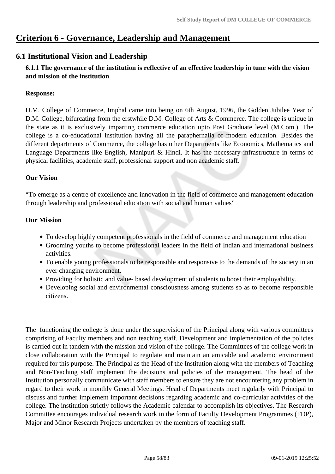## **Criterion 6 - Governance, Leadership and Management**

## **6.1 Institutional Vision and Leadership**

 **6.1.1 The governance of the institution is reflective of an effective leadership in tune with the vision and mission of the institution**

### **Response:**

D.M. College of Commerce, Imphal came into being on 6th August, 1996, the Golden Jubilee Year of D.M. College, bifurcating from the erstwhile D.M. College of Arts & Commerce. The college is unique in the state as it is exclusively imparting commerce education upto Post Graduate level (M.Com.). The college is a co-educational institution having all the paraphernalia of modern education. Besides the different departments of Commerce, the college has other Departments like Economics, Mathematics and Language Departments like English, Manipuri & Hindi. It has the necessary infrastructure in terms of physical facilities, academic staff, professional support and non academic staff.

### **Our Vision**

"To emerge as a centre of excellence and innovation in the field of commerce and management education through leadership and professional education with social and human values"

### **Our Mission**

- To develop highly competent professionals in the field of commerce and management education
- Grooming youths to become professional leaders in the field of Indian and international business activities.
- To enable young professionals to be responsible and responsive to the demands of the society in an ever changing environment.
- Providing for holistic and value- based development of students to boost their employability.
- Developing social and environmental consciousness among students so as to become responsible citizens.

The functioning the college is done under the supervision of the Principal along with various committees comprising of Faculty members and non teaching staff. Development and implementation of the policies is carried out in tandem with the mission and vision of the college. The Committees of the college work in close collaboration with the Principal to regulate and maintain an amicable and academic environment required for this purpose. The Principal as the Head of the Institution along with the members of Teaching and Non-Teaching staff implement the decisions and policies of the management. The head of the Institution personally communicate with staff members to ensure they are not encountering any problem in regard to their work in monthly General Meetings. Head of Departments meet regularly with Principal to discuss and further implement important decisions regarding academic and co-curricular activities of the college. The institution strictly follows the Academic calendar to accomplish its objectives. The Research Committee encourages individual research work in the form of Faculty Development Programmes (FDP), Major and Minor Research Projects undertaken by the members of teaching staff.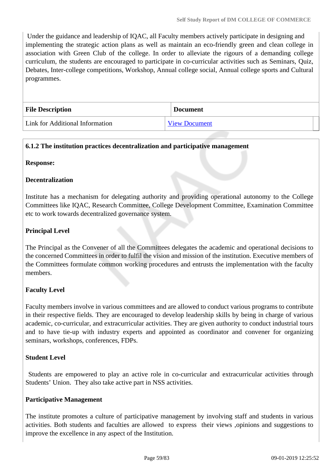Under the guidance and leadership of IQAC, all Faculty members actively participate in designing and implementing the strategic action plans as well as maintain an eco-friendly green and clean college in association with Green Club of the college. In order to alleviate the rigours of a demanding college curriculum, the students are encouraged to participate in co-curricular activities such as Seminars, Quiz, Debates, Inter-college competitions, Workshop, Annual college social, Annual college sports and Cultural programmes.

| <b>File Description</b>         | <b>Document</b>      |
|---------------------------------|----------------------|
| Link for Additional Information | <b>View Document</b> |

### **6.1.2 The institution practices decentralization and participative management**

#### **Response:**

#### **Decentralization**

Institute has a mechanism for delegating authority and providing operational autonomy to the College Committees like IQAC, Research Committee, College Development Committee, Examination Committee etc to work towards decentralized governance system.

### **Principal Level**

The Principal as the Convener of all the Committees delegates the academic and operational decisions to the concerned Committees in order to fulfil the vision and mission of the institution. Executive members of the Committees formulate common working procedures and entrusts the implementation with the faculty members.

### **Faculty Level**

Faculty members involve in various committees and are allowed to conduct various programs to contribute in their respective fields. They are encouraged to develop leadership skills by being in charge of various academic, co-curricular, and extracurricular activities. They are given authority to conduct industrial tours and to have tie-up with industry experts and appointed as coordinator and convener for organizing seminars, workshops, conferences, FDPs.

#### **Student Level**

 Students are empowered to play an active role in co-curricular and extracurricular activities through Students' Union. They also take active part in NSS activities.

#### **Participative Management**

The institute promotes a culture of participative management by involving staff and students in various activities. Both students and faculties are allowed to express their views ,opinions and suggestions to improve the excellence in any aspect of the Institution.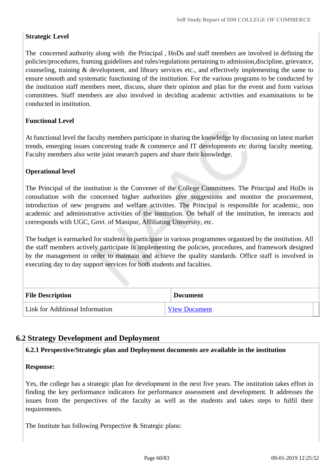### **Strategic Level**

The concerned authority along with the Principal , HoDs and staff members are involved in defining the policies/procedures, framing guidelines and rules/regulations pertaining to admission,discipline, grievance, counseling, training & development, and library services etc., and effectively implementing the same to ensure smooth and systematic functioning of the institution. For the various programs to be conducted by the institution staff members meet, discuss, share their opinion and plan for the event and form various committees. Staff members are also involved in deciding academic activities and examinations to be conducted in institution.

### **Functional Level**

At functional level the faculty members participate in sharing the knowledge by discussing on latest market trends, emerging issues concerning trade & commerce and IT developments etc during faculty meeting. Faculty members also write joint research papers and share their knowledge.

### **Operational level**

The Principal of the institution is the Convener of the College Committees. The Principal and HoDs in consultation with the concerned higher authorities give suggestions and monitor the procurement, introduction of new programs and welfare activities. The Principal is responsible for academic, non academic and administrative activities of the institution. On behalf of the institution, he interacts and corresponds with UGC, Govt. of Manipur, Affiliating University, etc.

The budget is earmarked for students to participate in various programmes organized by the institution. All the staff members actively participate in implementing the policies, procedures, and framework designed by the management in order to maintain and achieve the quality standards. Office staff is involved in executing day to day support services for both students and faculties.

| <b>File Description</b>         | <b>Document</b>      |
|---------------------------------|----------------------|
| Link for Additional Information | <b>View Document</b> |

## **6.2 Strategy Development and Deployment**

### **6.2.1 Perspective/Strategic plan and Deployment documents are available in the institution**

### **Response:**

Yes, the college has a strategic plan for development in the next five years. The institution takes effort in finding the key performance indicators for performance assessment and development. It addresses the issues from the perspectives of the faculty as well as the students and takes steps to fulfil their requirements.

The Institute has following Perspective & Strategic plans: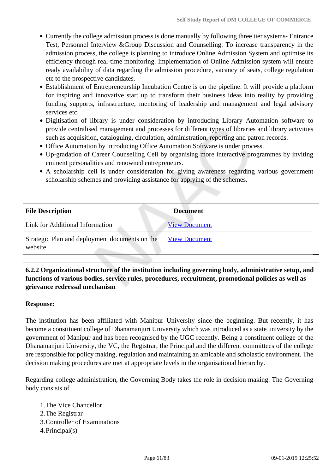- Currently the college admission process is done manually by following three tier systems- Entrance Test, Personnel Interview &Group Discussion and Counselling. To increase transparency in the admission process, the college is planning to introduce Online Admission System and optimise its efficiency through real-time monitoring. Implementation of Online Admission system will ensure ready availability of data regarding the admission procedure, vacancy of seats, college regulation etc to the prospective candidates.
- Establishment of Entrepreneurship Incubation Centre is on the pipeline. It will provide a platform for inspiring and innovative start up to transform their business ideas into reality by providing funding supports, infrastructure, mentoring of leadership and management and legal advisory services etc.
- Digitisation of library is under consideration by introducing Library Automation software to provide centralised management and processes for different types of libraries and library activities such as acquisition, cataloguing, circulation, administration, reporting and patron records.
- Office Automation by introducing Office Automation Software is under process.
- Up-gradation of Career Counselling Cell by organising more interactive programmes by inviting eminent personalities and renowned entrepreneurs.
- A scholarship cell is under consideration for giving awareness regarding various government scholarship schemes and providing assistance for applying of the schemes.

| <b>File Description</b>                                   | <b>Document</b>      |
|-----------------------------------------------------------|----------------------|
| Link for Additional Information                           | <b>View Document</b> |
| Strategic Plan and deployment documents on the<br>website | <b>View Document</b> |

 **6.2.2 Organizational structure of the institution including governing body, administrative setup, and functions of various bodies, service rules, procedures, recruitment, promotional policies as well as grievance redressal mechanism**

#### **Response:**

The institution has been affiliated with Manipur University since the beginning. But recently, it has become a constituent college of Dhanamanjuri University which was introduced as a state university by the government of Manipur and has been recognised by the UGC recently. Being a constituent college of the Dhanamanjuri University, the VC, the Registrar, the Principal and the different committees of the college are responsible for policy making, regulation and maintaining an amicable and scholastic environment. The decision making procedures are met at appropriate levels in the organisational hierarchy.

Regarding college administration, the Governing Body takes the role in decision making. The Governing body consists of

1.The Vice Chancellor 2.The Registrar 3.Controller of Examinations 4.Principal(s)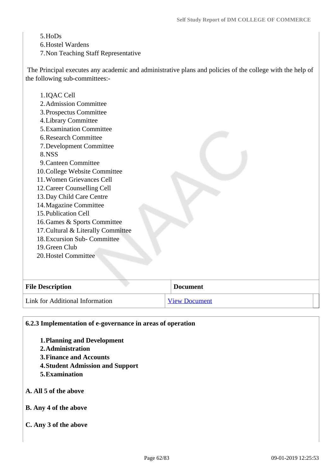#### 5.HoDs

6.Hostel Wardens

7.Non Teaching Staff Representative

 The Principal executes any academic and administrative plans and policies of the college with the help of the following sub-committees:-

| 1. IQAC Cell<br>2. Admission Committee<br>3. Prospectus Committee |                      |
|-------------------------------------------------------------------|----------------------|
| 4. Library Committee                                              |                      |
| 5. Examination Committee                                          |                      |
| 6. Research Committee                                             |                      |
| 7. Development Committee                                          |                      |
| 8.NSS                                                             |                      |
| 9. Canteen Committee                                              |                      |
| 10. College Website Committee                                     |                      |
| 11. Women Grievances Cell                                         |                      |
| 12. Career Counselling Cell                                       |                      |
|                                                                   |                      |
| 13. Day Child Care Centre                                         |                      |
| 14. Magazine Committee                                            |                      |
| 15. Publication Cell                                              |                      |
| 16. Games & Sports Committee                                      |                      |
| 17. Cultural & Literally Committee                                |                      |
| 18. Excursion Sub-Committee                                       |                      |
| 19. Green Club                                                    |                      |
| 20. Hostel Committee                                              |                      |
|                                                                   |                      |
|                                                                   |                      |
| <b>File Description</b>                                           | <b>Document</b>      |
| Link for Additional Information                                   | <b>View Document</b> |

#### **6.2.3 Implementation of e-governance in areas of operation**

- **1.Planning and Development**
- **2.Administration**
- **3.Finance and Accounts**
- **4.Student Admission and Support**
- **5.Examination**

### **A. All 5 of the above**

**B. Any 4 of the above**

#### **C. Any 3 of the above**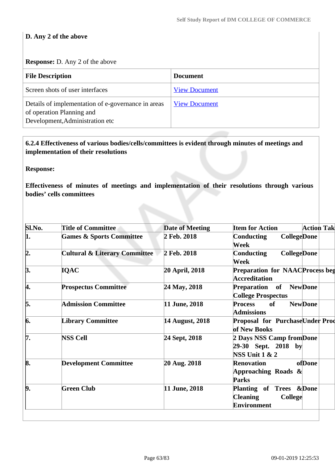### **D. Any 2 of the above**

#### **Response:** D. Any 2 of the above

| <b>File Description</b>                                                                                            | <b>Document</b>      |
|--------------------------------------------------------------------------------------------------------------------|----------------------|
| Screen shots of user interfaces                                                                                    | <b>View Document</b> |
| Details of implementation of e-governance in areas<br>of operation Planning and<br>Development, Administration etc | <b>View Document</b> |

 **6.2.4 Effectiveness of various bodies/cells/committees is evident through minutes of meetings and implementation of their resolutions** 

**Response:** 

**Effectiveness of minutes of meetings and implementation of their resolutions through various bodies' cells committees**

| Sl.No.           | <b>Title of Committee</b>                | <b>Date of Meeting</b> | <b>Action Tak</b><br><b>Item for Action</b>                                        |
|------------------|------------------------------------------|------------------------|------------------------------------------------------------------------------------|
| 1.               | <b>Games &amp; Sports Committee</b>      | 2 Feb. 2018            | <b>Conducting</b><br><b>CollegeDone</b><br>Week                                    |
| 2.               | <b>Cultural &amp; Literary Committee</b> | 2 Feb. 2018            | <b>CollegeDone</b><br><b>Conducting</b><br>Week                                    |
| $\beta$ .        | <b>IQAC</b>                              | 20 April, 2018         | <b>Preparation for NAACProcess beg</b><br><b>Accreditation</b>                     |
| 4.               | <b>Prospectus Committee</b>              | 24 May, 2018           | Preparation of NewDone<br><b>College Prospectus</b>                                |
| 5.               | <b>Admission Committee</b>               | 11 June, 2018          | <b>NewDone</b><br><b>of</b><br><b>Process</b><br><b>Admissions</b>                 |
| 6.               | <b>Library Committee</b>                 | 14 August, 2018        | Proposal for PurchaseUnder Prod<br>of New Books                                    |
| 7.               | <b>NSS Cell</b>                          | 24 Sept, 2018          | 2 Days NSS Camp from Done<br>29-30 Sept. 2018 by<br><b>NSS Unit 1 &amp; 2</b>      |
| 8.               | <b>Development Committee</b>             | 20 Aug. 2018           | ofDone<br><b>Renovation</b><br>Approaching Roads $\&$<br><b>Parks</b>              |
| $\boldsymbol{9}$ | <b>Green Club</b>                        | 11 June, 2018          | Planting of Trees &Done<br><b>Cleaning</b><br><b>College</b><br><b>Environment</b> |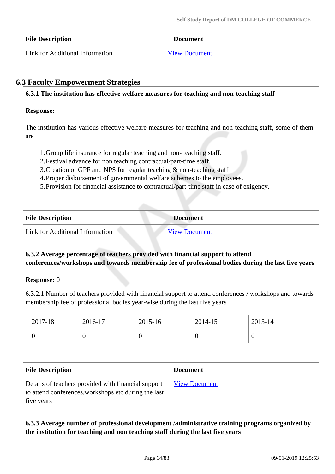| <b>File Description</b>         | <b>Document</b>      |
|---------------------------------|----------------------|
| Link for Additional Information | <b>View Document</b> |

## **6.3 Faculty Empowerment Strategies**

**6.3.1 The institution has effective welfare measures for teaching and non-teaching staff**

### **Response:**

The institution has various effective welfare measures for teaching and non-teaching staff, some of them are

- 1.Group life insurance for regular teaching and non- teaching staff.
- 2.Festival advance for non teaching contractual/part-time staff.
- 3.Creation of GPF and NPS for regular teaching & non-teaching staff
- 4.Proper disbursement of governmental welfare schemes to the employees.
- 5.Provision for financial assistance to contractual/part-time staff in case of exigency.

| <b>File Description</b>         | <b>Document</b>      |
|---------------------------------|----------------------|
| Link for Additional Information | <b>View Document</b> |

### **6.3.2 Average percentage of teachers provided with financial support to attend conferences/workshops and towards membership fee of professional bodies during the last five years**

#### **Response:** 0

6.3.2.1 Number of teachers provided with financial support to attend conferences / workshops and towards membership fee of professional bodies year-wise during the last five years

| 2017-18                                                                                                                   | 2016-17  | 2015-16         |                      | 2014-15        | 2013-14        |
|---------------------------------------------------------------------------------------------------------------------------|----------|-----------------|----------------------|----------------|----------------|
| $\overline{0}$                                                                                                            | $\theta$ | $\theta$        |                      | $\overline{0}$ | $\overline{0}$ |
|                                                                                                                           |          |                 |                      |                |                |
| <b>File Description</b>                                                                                                   |          | <b>Document</b> |                      |                |                |
| Details of teachers provided with financial support<br>to attend conferences, workshops etc during the last<br>five years |          |                 | <b>View Document</b> |                |                |

### **6.3.3 Average number of professional development /administrative training programs organized by the institution for teaching and non teaching staff during the last five years**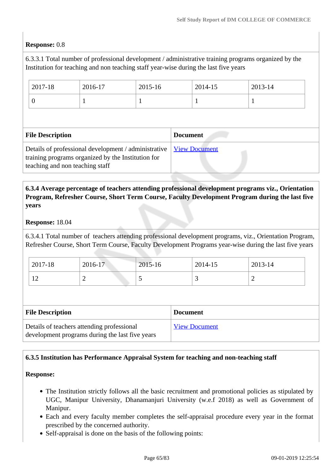### **Response:** 0.8

6.3.3.1 Total number of professional development / administrative training programs organized by the Institution for teaching and non teaching staff year-wise during the last five years

| 2017-18                                                                                                                                       | 2016-17 | 2015-16              |                 | 2014-15 | 2013-14 |
|-----------------------------------------------------------------------------------------------------------------------------------------------|---------|----------------------|-----------------|---------|---------|
| $\overline{0}$                                                                                                                                |         |                      |                 |         |         |
|                                                                                                                                               |         |                      |                 |         |         |
| <b>File Description</b>                                                                                                                       |         |                      | <b>Document</b> |         |         |
| Details of professional development / administrative<br>training programs organized by the Institution for<br>teaching and non teaching staff |         | <b>View Document</b> |                 |         |         |

### **6.3.4 Average percentage of teachers attending professional development programs viz., Orientation Program, Refresher Course, Short Term Course, Faculty Development Program during the last five years**

#### **Response:** 18.04

6.3.4.1 Total number of teachers attending professional development programs, viz., Orientation Program, Refresher Course, Short Term Course, Faculty Development Programs year-wise during the last five years

| 2017-18                  | 2016-17 | $2015 - 16$ | 2014-15 | 2013-14 |
|--------------------------|---------|-------------|---------|---------|
| $\sim$<br>$\overline{1}$ | ∼       | ັ           | ັ       | -       |

| <b>File Description</b>                                                                       | <b>Document</b>      |
|-----------------------------------------------------------------------------------------------|----------------------|
| Details of teachers attending professional<br>development programs during the last five years | <b>View Document</b> |

### **6.3.5 Institution has Performance Appraisal System for teaching and non-teaching staff**

### **Response:**

- The Institution strictly follows all the basic recruitment and promotional policies as stipulated by UGC, Manipur University, Dhanamanjuri University (w.e.f 2018) as well as Government of Manipur.
- Each and every faculty member completes the self-appraisal procedure every year in the format prescribed by the concerned authority.
- Self-appraisal is done on the basis of the following points: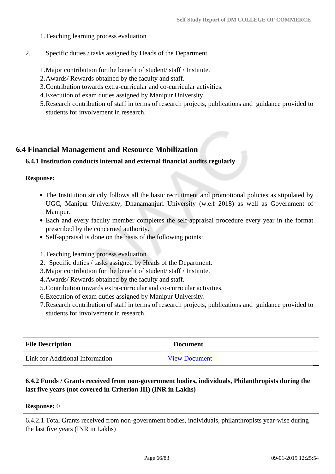- 1.Teaching learning process evaluation
- 2. Specific duties / tasks assigned by Heads of the Department.
	- 1.Major contribution for the benefit of student/ staff / Institute.
	- 2.Awards/ Rewards obtained by the faculty and staff.
	- 3.Contribution towards extra-curricular and co-curricular activities.
	- 4.Execution of exam duties assigned by Manipur University.
	- 5.Research contribution of staff in terms of research projects, publications and guidance provided to students for involvement in research.

### **6.4 Financial Management and Resource Mobilization**

### **6.4.1 Institution conducts internal and external financial audits regularly**

#### **Response:**

- The Institution strictly follows all the basic recruitment and promotional policies as stipulated by UGC, Manipur University, Dhanamanjuri University (w.e.f 2018) as well as Government of Manipur.
- Each and every faculty member completes the self-appraisal procedure every year in the format prescribed by the concerned authority.
- Self-appraisal is done on the basis of the following points:
- 1.Teaching learning process evaluation
- 2. Specific duties / tasks assigned by Heads of the Department.
- 3.Major contribution for the benefit of student/ staff / Institute.
- 4.Awards/ Rewards obtained by the faculty and staff.
- 5.Contribution towards extra-curricular and co-curricular activities.
- 6.Execution of exam duties assigned by Manipur University.
- 7.Research contribution of staff in terms of research projects, publications and guidance provided to students for involvement in research.

| <b>File Description</b>         | <b>Document</b>      |
|---------------------------------|----------------------|
| Link for Additional Information | <b>View Document</b> |

### **6.4.2 Funds / Grants received from non-government bodies, individuals, Philanthropists during the last five years (not covered in Criterion III) (INR in Lakhs)**

#### **Response:** 0

6.4.2.1 Total Grants received from non-government bodies, individuals, philanthropists year-wise during the last five years (INR in Lakhs)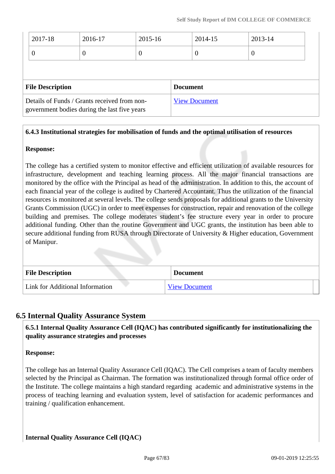| ν |
|---|

| <b>File Description</b>                      | <b>Document</b>      |
|----------------------------------------------|----------------------|
| Details of Funds / Grants received from non- | <b>View Document</b> |
| government bodies during the last five years |                      |

### **6.4.3 Institutional strategies for mobilisation of funds and the optimal utilisation of resources**

### **Response:**

The college has a certified system to monitor effective and efficient utilization of available resources for infrastructure, development and teaching learning process. All the major financial transactions are monitored by the office with the Principal as head of the administration. In addition to this, the account of each financial year of the college is audited by Chartered Accountant. Thus the utilization of the financial resources is monitored at several levels. The college sends proposals for additional grants to the University Grants Commission (UGC) in order to meet expenses for construction, repair and renovation of the college building and premises. The college moderates student's fee structure every year in order to procure additional funding. Other than the routine Government and UGC grants, the institution has been able to secure additional funding from RUSA through Directorate of University & Higher education, Government of Manipur.

| <b>File Description</b>         | <b>Document</b>      |
|---------------------------------|----------------------|
| Link for Additional Information | <b>View Document</b> |

### **6.5 Internal Quality Assurance System**

 **6.5.1 Internal Quality Assurance Cell (IQAC) has contributed significantly for institutionalizing the quality assurance strategies and processes**

#### **Response:**

The college has an Internal Quality Assurance Cell (IQAC). The Cell comprises a team of faculty members selected by the Principal as Chairman. The formation was institutionalized through formal office order of the Institute. The college maintains a high standard regarding academic and administrative systems in the process of teaching learning and evaluation system, level of satisfaction for academic performances and training / qualification enhancement.

### **Internal Quality Assurance Cell (IQAC)**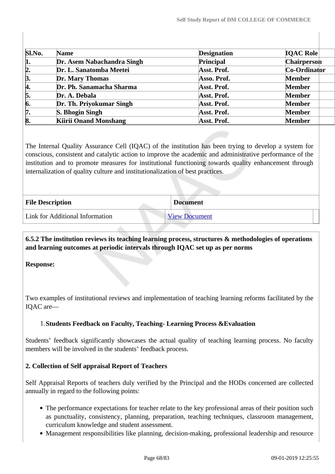| Sl.No.    | <b>Name</b>                  | <b>Designation</b> | <b>IQAC Role</b> |
|-----------|------------------------------|--------------------|------------------|
| 1.        | Dr. Asem Nabachandra Singh   | Principal          | Chairperson      |
| 2.        | Dr. L. Sanatomba Meetei      | Asst. Prof.        | Co-Ordinator     |
| $\beta$ . | Dr. Mary Thomas              | Asso. Prof.        | <b>Member</b>    |
| <b>A.</b> | Dr. Ph. Sanamacha Sharma     | Asst. Prof.        | <b>Member</b>    |
| 5.        | Dr. A. Debala                | Asst. Prof.        | <b>Member</b>    |
| 6.        | Dr. Th. Priyokumar Singh     | Asst. Prof.        | <b>Member</b>    |
| 7.        | <b>S. Bhogin Singh</b>       | Asst. Prof.        | <b>Member</b>    |
| 8.        | <b>Kiirii Onand Monshang</b> | Asst. Prof.        | <b>Member</b>    |

The Internal Quality Assurance Cell (IQAC) of the institution has been trying to develop a system for conscious, consistent and catalytic action to improve the academic and administrative performance of the institution and to promote measures for institutional functioning towards quality enhancement through internalization of quality culture and institutionalization of best practices.

| <b>File Description</b>         | <b>Document</b>      |
|---------------------------------|----------------------|
| Link for Additional Information | <b>View Document</b> |

 **6.5.2 The institution reviews its teaching learning process, structures & methodologies of operations and learning outcomes at periodic intervals through IQAC set up as per norms**

**Response:** 

Two examples of institutional reviews and implementation of teaching learning reforms facilitated by the IQAC are—

### 1.**Students Feedback on Faculty, Teaching- Learning Process &Evaluation**

Students' feedback significantly showcases the actual quality of teaching learning process. No faculty members will be involved in the students' feedback process.

### **2. Collection of Self appraisal Report of Teachers**

Self Appraisal Reports of teachers duly verified by the Principal and the HODs concerned are collected annually in regard to the following points:

- The performance expectations for teacher relate to the key professional areas of their position such as punctuality, consistency, planning, preparation, teaching techniques, classroom management, curriculum knowledge and student assessment.
- Management responsibilities like planning, decision-making, professional leadership and resource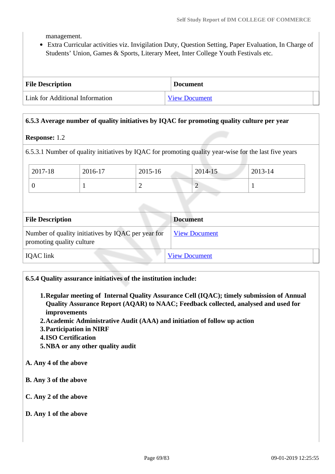management.

 Extra Curricular activities viz. Invigilation Duty, Question Setting, Paper Evaluation, In Charge of Students' Union, Games & Sports, Literary Meet, Inter College Youth Festivals etc.

| <b>File Description</b>                | <b>Document</b>      |
|----------------------------------------|----------------------|
| <b>Link for Additional Information</b> | <b>View Document</b> |

#### **6.5.3 Average number of quality initiatives by IQAC for promoting quality culture per year**

#### **Response:** 1.2

6.5.3.1 Number of quality initiatives by IQAC for promoting quality year-wise for the last five years

| 2017-18 | 2016-17 | 2015-16 | $2014 - 15$ | 2013-14 |
|---------|---------|---------|-------------|---------|
|         |         | -       | ∽           |         |

| <b>File Description</b>                                                         | <b>Document</b>      |
|---------------------------------------------------------------------------------|----------------------|
| Number of quality initiatives by IQAC per year for<br>promoting quality culture | <b>View Document</b> |
| <b>IQAC</b> link                                                                | <b>View Document</b> |

#### **6.5.4 Quality assurance initiatives of the institution include:**

- **1.Regular meeting of Internal Quality Assurance Cell (IQAC); timely submission of Annual Quality Assurance Report (AQAR) to NAAC; Feedback collected, analysed and used for improvements**
- **2.Academic Administrative Audit (AAA) and initiation of follow up action**
- **3.Participation in NIRF**
- **4.ISO Certification**
- **5.NBA or any other quality audit**

#### **A. Any 4 of the above**

- **B. Any 3 of the above**
- **C. Any 2 of the above**

#### **D. Any 1 of the above**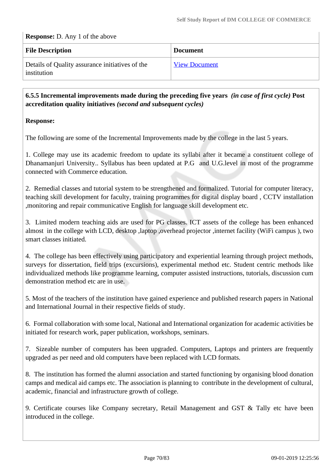#### **Response:** D. Any 1 of the above

| <b>File Description</b>                                        | <b>Document</b>      |
|----------------------------------------------------------------|----------------------|
| Details of Quality assurance initiatives of the<br>institution | <b>View Document</b> |

 **6.5.5 Incremental improvements made during the preceding five years** *(in case of first cycle)* **Post accreditation quality initiatives** *(second and subsequent cycles)*

### **Response:**

The following are some of the Incremental Improvements made by the college in the last 5 years.

1. College may use its academic freedom to update its syllabi after it became a constituent college of Dhanamanjuri University.. Syllabus has been updated at P.G and U.G.level in most of the programme connected with Commerce education.

2. Remedial classes and tutorial system to be strengthened and formalized. Tutorial for computer literacy, teaching skill development for faculty, training programmes for digital display board , CCTV installation ,monitoring and repair communicative English for language skill development etc.

3. Limited modern teaching aids are used for PG classes. ICT assets of the college has been enhanced almost in the college with LCD, desktop ,laptop ,overhead projector ,internet facility (WiFi campus ), two smart classes initiated.

4. The college has been effectively using participatory and experiential learning through project methods, surveys for dissertation, field trips (excursions), experimental method etc. Student centric methods like individualized methods like programme learning, computer assisted instructions, tutorials, discussion cum demonstration method etc are in use.

5. Most of the teachers of the institution have gained experience and published research papers in National and International Journal in their respective fields of study.

6. Formal collaboration with some local, National and International organization for academic activities be initiated for research work, paper publication, workshops, seminars.

7. Sizeable number of computers has been upgraded. Computers, Laptops and printers are frequently upgraded as per need and old computers have been replaced with LCD formats.

8. The institution has formed the alumni association and started functioning by organising blood donation camps and medical aid camps etc. The association is planning to contribute in the development of cultural, academic, financial and infrastructure growth of college.

9. Certificate courses like Company secretary, Retail Management and GST & Tally etc have been introduced in the college.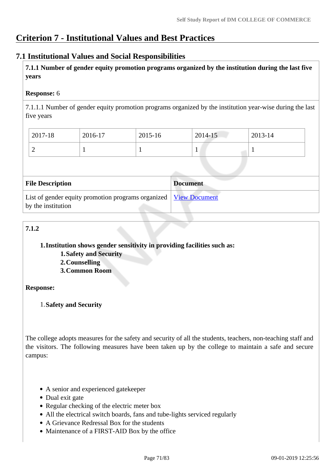# **Criterion 7 - Institutional Values and Best Practices**

### **7.1 Institutional Values and Social Responsibilities**

 **7.1.1 Number of gender equity promotion programs organized by the institution during the last five years** 

### **Response:** 6

7.1.1.1 Number of gender equity promotion programs organized by the institution year-wise during the last five years

| 2017-18 | 2016-17 | 2015-16 | 2014-15 | $2013 - 14$ |
|---------|---------|---------|---------|-------------|
| ∽       |         |         |         |             |

| <b>File Description</b>                                                                         | <b>Document</b> |
|-------------------------------------------------------------------------------------------------|-----------------|
| List of gender equity promotion programs organized   <u>View Document</u><br>by the institution |                 |

### **7.1.2**

**1.Institution shows gender sensitivity in providing facilities such as:**

- **1.Safety and Security**
- **2.Counselling**
- **3.Common Room**

### **Response:**

1.**Safety and Security**

The college adopts measures for the safety and security of all the students, teachers, non-teaching staff and the visitors. The following measures have been taken up by the college to maintain a safe and secure campus:

- A senior and experienced gatekeeper
- Dual exit gate
- Regular checking of the electric meter box
- All the electrical switch boards, fans and tube-lights serviced regularly
- A Grievance Redressal Box for the students
- Maintenance of a FIRST-AID Box by the office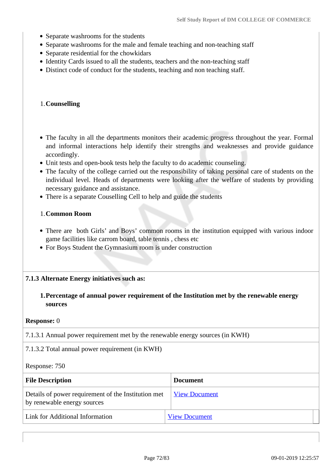- Separate washrooms for the students
- Separate washrooms for the male and female teaching and non-teaching staff
- Separate residential for the chowkidars
- Identity Cards issued to all the students, teachers and the non-teaching staff
- Distinct code of conduct for the students, teaching and non teaching staff.

#### 1.**Counselling**

- The faculty in all the departments monitors their academic progress throughout the year. Formal and informal interactions help identify their strengths and weaknesses and provide guidance accordingly.
- Unit tests and open-book tests help the faculty to do academic counseling.
- The faculty of the college carried out the responsibility of taking personal care of students on the individual level. Heads of departments were looking after the welfare of students by providing necessary guidance and assistance.
- There is a separate Couselling Cell to help and guide the students

#### 1.**Common Room**

- There are both Girls' and Boys' common rooms in the institution equipped with various indoor game facilities like carrom board, table tennis , chess etc
- For Boys Student the Gymnasium room is under construction

#### **7.1.3 Alternate Energy initiatives such as:**

### **1.Percentage of annual power requirement of the Institution met by the renewable energy sources**

#### **Response:** 0

7.1.3.1 Annual power requirement met by the renewable energy sources (in KWH)

#### 7.1.3.2 Total annual power requirement (in KWH)

#### Response: 750

| <b>File Description</b>                                                            | <b>Document</b>      |
|------------------------------------------------------------------------------------|----------------------|
| Details of power requirement of the Institution met<br>by renewable energy sources | <b>View Document</b> |
| Link for Additional Information                                                    | <b>View Document</b> |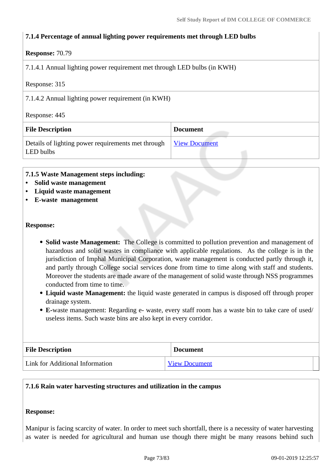## **7.1.4 Percentage of annual lighting power requirements met through LED bulbs**

#### **Response:** 70.79

7.1.4.1 Annual lighting power requirement met through LED bulbs (in KWH)

| Response: 315 |  |
|---------------|--|
|---------------|--|

| 7.1.4.2 Annual lighting power requirement (in KWH) |  |  |
|----------------------------------------------------|--|--|
|                                                    |  |  |

#### Response: 445

| <b>File Description</b>                                         | <b>Document</b>      |
|-----------------------------------------------------------------|----------------------|
| Details of lighting power requirements met through<br>LED bulbs | <b>View Document</b> |

## **7.1.5 Waste Management steps including:**

- **Solid waste management**
- **Liquid waste management**
- **E-waste management**

#### **Response:**

- **Solid waste Management:** The College is committed to pollution prevention and management of hazardous and solid wastes in compliance with applicable regulations.As the college is in the jurisdiction of Imphal Municipal Corporation, waste management is conducted partly through it, and partly through College social services done from time to time along with staff and students. Moreover the students are made aware of the management of solid waste through NSS programmes conducted from time to time.
- **Liquid waste Management:** the liquid waste generated in campus is disposed off through proper drainage system.
- **E-**waste management: Regarding e- waste, every staff room has a waste bin to take care of used/ useless items. Such waste bins are also kept in every corridor.

| <b>File Description</b>         | <b>Document</b>      |
|---------------------------------|----------------------|
| Link for Additional Information | <b>View Document</b> |

## **7.1.6 Rain water harvesting structures and utilization in the campus**

## **Response:**

Manipur is facing scarcity of water. In order to meet such shortfall, there is a necessity of water harvesting as water is needed for agricultural and human use though there might be many reasons behind such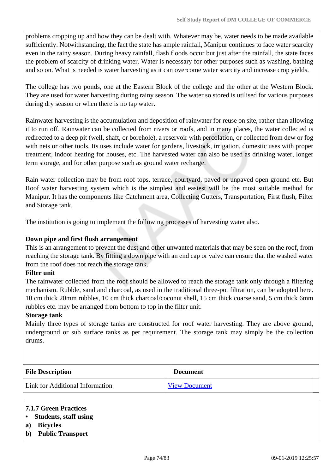problems cropping up and how they can be dealt with. Whatever may be, water needs to be made available sufficiently. Notwithstanding, the fact the state has ample rainfall, Manipur continues to face water scarcity even in the rainy season. During heavy rainfall, flash floods occur but just after the rainfall, the state faces the problem of scarcity of drinking water. Water is necessary for other purposes such as washing, bathing and so on. What is needed is water harvesting as it can overcome water scarcity and increase crop yields.

The college has two ponds, one at the Eastern Block of the college and the other at the Western Block. They are used for water harvesting during rainy season. The water so stored is utilised for various purposes during dry season or when there is no tap water.

Rainwater harvesting is the accumulation and deposition of rainwater for reuse on site, rather than allowing it to run off. Rainwater can be collected from rivers or roofs, and in many places, the water collected is redirected to a deep pit (well, shaft, or borehole), a reservoir with percolation, or collected from dew or fog with nets or other tools. Its uses include water for gardens, livestock, irrigation, domestic uses with proper treatment, indoor heating for houses, etc. The harvested water can also be used as drinking water, longer term storage, and for other purpose such as ground water recharge.

Rain water collection may be from roof tops, terrace, courtyard, paved or unpaved open ground etc. But Roof water harvesting system which is the simplest and easiest will be the most suitable method for Manipur. It has the components like Catchment area, Collecting Gutters, Transportation, First flush, Filter and Storage tank.

The institution is going to implement the following processes of harvesting water also.

#### **Down pipe and first flush arrangement**

This is an arrangement to prevent the dust and other unwanted materials that may be seen on the roof, from reaching the storage tank. By fitting a down pipe with an end cap or valve can ensure that the washed water from the roof does not reach the storage tank.

#### **Filter unit**

The rainwater collected from the roof should be allowed to reach the storage tank only through a filtering mechanism. Rubble, sand and charcoal, as used in the traditional three-pot filtration, can be adopted here. 10 cm thick 20mm rubbles, 10 cm thick charcoal/coconut shell, 15 cm thick coarse sand, 5 cm thick 6mm rubbles etc. may be arranged from bottom to top in the filter unit.

#### **Storage tank**

Mainly three types of storage tanks are constructed for roof water harvesting. They are above ground, underground or sub surface tanks as per requirement. The storage tank may simply be the collection drums.

| <b>File Description</b>         | <b>Document</b>      |
|---------------------------------|----------------------|
| Link for Additional Information | <b>View Document</b> |

## **7.1.7 Green Practices**

#### **• Students, staff using**

- **a) Bicycles**
- **b) Public Transport**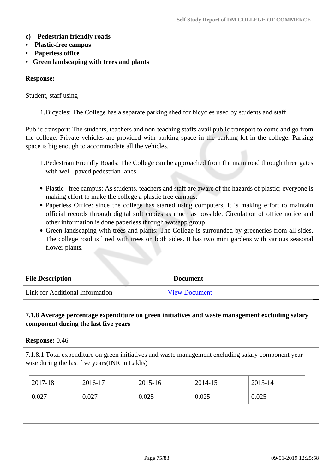#### **c) Pedestrian friendly roads**

- **Plastic-free campus**
- **Paperless office**
- **Green landscaping with trees and plants**

#### **Response:**

Student, staff using

1.Bicycles: The College has a separate parking shed for bicycles used by students and staff.

Public transport: The students, teachers and non-teaching staffs avail public transport to come and go from the college. Private vehicles are provided with parking space in the parking lot in the college. Parking space is big enough to accommodate all the vehicles.

- 1.Pedestrian Friendly Roads: The College can be approached from the main road through three gates with well- paved pedestrian lanes.
- Plastic –free campus: As students, teachers and staff are aware of the hazards of plastic; everyone is making effort to make the college a plastic free campus.
- Paperless Office: since the college has started using computers, it is making effort to maintain official records through digital soft copies as much as possible. Circulation of office notice and other information is done paperless through watsapp group.
- Green landscaping with trees and plants: The College is surrounded by greeneries from all sides. The college road is lined with trees on both sides. It has two mini gardens with various seasonal flower plants.

| <b>File Description</b>         | <b>Document</b>      |
|---------------------------------|----------------------|
| Link for Additional Information | <b>View Document</b> |

## **7.1.8 Average percentage expenditure on green initiatives and waste management excluding salary component during the last five years**

**Response:** 0.46

7.1.8.1 Total expenditure on green initiatives and waste management excluding salary component yearwise during the last five years(INR in Lakhs)

| 2017-18<br>2016-17 |       | 2015-16 | 2014-15 | 2013-14 |
|--------------------|-------|---------|---------|---------|
| 0.027<br>0.027     | 0.025 |         | 0.025   | 0.025   |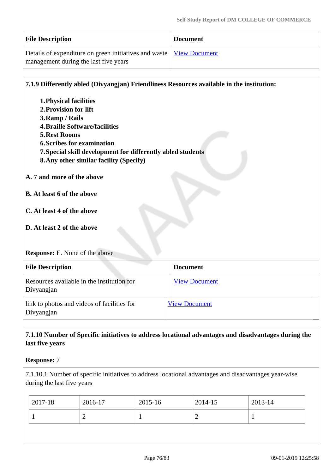| <b>File Description</b>                                               | <b>Document</b> |
|-----------------------------------------------------------------------|-----------------|
| Details of expenditure on green initiatives and waste   View Document |                 |
| management during the last five years                                 |                 |

| 7.1.9 Differently abled (Divyangjan) Friendliness Resources available in the institution:              |                      |  |
|--------------------------------------------------------------------------------------------------------|----------------------|--|
| <b>1. Physical facilities</b>                                                                          |                      |  |
| 2. Provision for lift                                                                                  |                      |  |
| 3. Ramp / Rails                                                                                        |                      |  |
| <b>4. Braille Software/facilities</b>                                                                  |                      |  |
| <b>5. Rest Rooms</b>                                                                                   |                      |  |
| <b>6. Scribes for examination</b>                                                                      |                      |  |
| 7. Special skill development for differently abled students<br>8. Any other similar facility (Specify) |                      |  |
| A. 7 and more of the above                                                                             |                      |  |
| <b>B.</b> At least 6 of the above                                                                      |                      |  |
| C. At least 4 of the above                                                                             |                      |  |
| D. At least 2 of the above                                                                             |                      |  |
| <b>Response:</b> E. None of the above                                                                  |                      |  |
| <b>File Description</b>                                                                                | <b>Document</b>      |  |
| Resources available in the institution for<br>Divyangjan                                               | <b>View Document</b> |  |
| link to photos and videos of facilities for<br>Divyangjan                                              | <b>View Document</b> |  |

## **7.1.10 Number of Specific initiatives to address locational advantages and disadvantages during the last five years**

#### **Response:** 7

7.1.10.1 Number of specific initiatives to address locational advantages and disadvantages year-wise during the last five years

| 2017-18 | 2016-17   | 2015-16  | 2014-15 | 2013-14                  |
|---------|-----------|----------|---------|--------------------------|
|         | <b>__</b> | <b>.</b> | ∼       | $\overline{\phantom{a}}$ |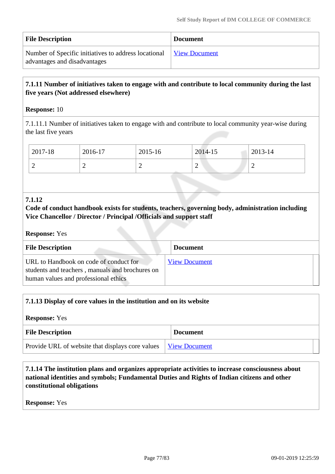| <b>File Description</b>                                                              | <b>Document</b>      |
|--------------------------------------------------------------------------------------|----------------------|
| Number of Specific initiatives to address locational<br>advantages and disadvantages | <b>View Document</b> |

## **7.1.11 Number of initiatives taken to engage with and contribute to local community during the last five years (Not addressed elsewhere)**

#### **Response:** 10

7.1.11.1 Number of initiatives taken to engage with and contribute to local community year-wise during the last five years

| 2017-18 | 2016-17 | 2015-16 | 2014-15 | 2013-14 |
|---------|---------|---------|---------|---------|
| ∼       | -       | ∽       | ∽       | ∽       |

#### **7.1.12**

## **Code of conduct handbook exists for students, teachers, governing body, administration including Vice Chancellor / Director / Principal /Officials and support staff**

#### **Response:** Yes

| <b>File Description</b>                                                                                                           | <b>Document</b>      |
|-----------------------------------------------------------------------------------------------------------------------------------|----------------------|
| URL to Handbook on code of conduct for<br>students and teachers, manuals and brochures on<br>human values and professional ethics | <b>View Document</b> |

| 7.1.13 Display of core values in the institution and on its website |  |                      |  |
|---------------------------------------------------------------------|--|----------------------|--|
| <b>Response:</b> Yes                                                |  |                      |  |
| <b>File Description</b>                                             |  | <b>Document</b>      |  |
| Provide URL of website that displays core values                    |  | <b>View Document</b> |  |

 **7.1.14 The institution plans and organizes appropriate activities to increase consciousness about national identities and symbols; Fundamental Duties and Rights of Indian citizens and other constitutional obligations**

**Response:** Yes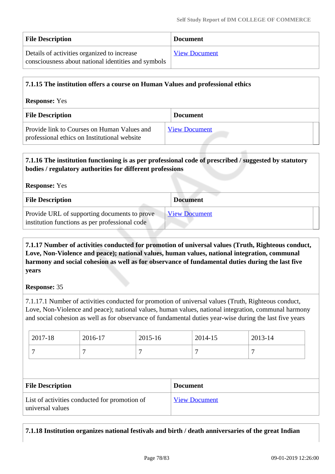| <b>File Description</b>                                                                            | <b>Document</b>      |
|----------------------------------------------------------------------------------------------------|----------------------|
| Details of activities organized to increase<br>consciousness about national identities and symbols | <b>View Document</b> |

| 7.1.15 The institution offers a course on Human Values and professional ethics<br><b>Response:</b> Yes |                      |  |
|--------------------------------------------------------------------------------------------------------|----------------------|--|
|                                                                                                        |                      |  |
| Provide link to Courses on Human Values and<br>professional ethics on Institutional website            | <b>View Document</b> |  |

## **7.1.16 The institution functioning is as per professional code of prescribed / suggested by statutory bodies / regulatory authorities for different professions Response:** Yes **File Description Document** Provide URL of supporting documents to prove institution functions as per professional code [View Document](www.dmccommerce.edu.in)

 **7.1.17 Number of activities conducted for promotion of universal values (Truth, Righteous conduct, Love, Non-Violence and peace); national values, human values, national integration, communal harmony and social cohesion as well as for observance of fundamental duties during the last five years**

## **Response:** 35

7.1.17.1 Number of activities conducted for promotion of universal values (Truth, Righteous conduct, Love, Non-Violence and peace); national values, human values, national integration, communal harmony and social cohesion as well as for observance of fundamental duties year-wise during the last five years

| $^{\circ}$ 2017-18 | 2016-17 | 2015-16 | 2014-15 | 2013-14 |
|--------------------|---------|---------|---------|---------|
| -                  |         |         |         |         |

| <b>File Description</b>                                           | <b>Document</b>      |
|-------------------------------------------------------------------|----------------------|
| List of activities conducted for promotion of<br>universal values | <b>View Document</b> |

## **7.1.18 Institution organizes national festivals and birth / death anniversaries of the great Indian**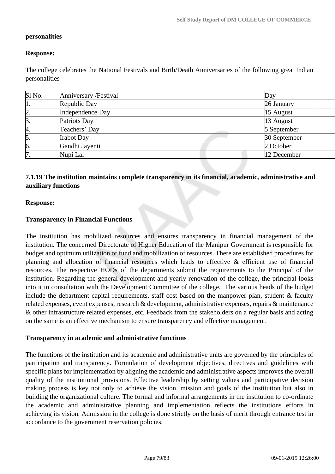## **personalities**

## **Response:**

The college celebrates the National Festivals and Birth/Death Anniversaries of the following great Indian personalities

| $SI$ No.        | Anniversary / Festival | Day          |
|-----------------|------------------------|--------------|
| $ 1$ .          | Republic Day           | 26 January   |
| 2.              | Independence Day       | $15$ August  |
| $\beta$ .       | Patriots Day           | $13$ August  |
| 4.              | Teachers' Day          | 5 September  |
| $\mathfrak{b}.$ | <b>Irabot Day</b>      | 30 September |
| 6.              | Gandhi Jayenti         | 2 October    |
| 17              | Nupi Lal               | 12 December  |

 **7.1.19 The institution maintains complete transparency in its financial, academic, administrative and auxiliary functions**

#### **Response:**

#### **Transparency in Financial Functions**

The institution has mobilized resources and ensures transparency in financial management of the institution. The concerned Directorate of Higher Education of the Manipur Government is responsible for budget and optimum utilization of fund and mobilization of resources. There are established procedures for planning and allocation of financial resources which leads to effective & efficient use of financial resources. The respective HODs of the departments submit the requirements to the Principal of the institution. Regarding the general development and yearly renovation of the college, the principal looks into it in consultation with the Development Committee of the college. The various heads of the budget include the department capital requirements, staff cost based on the manpower plan, student & faculty related expenses, event expenses, research & development, administrative expenses, repairs & maintenance & other infrastructure related expenses, etc. Feedback from the stakeholders on a regular basis and acting on the same is an effective mechanism to ensure transparency and effective management.

#### **Transparency in academic and administrative functions**

The functions of the institution and its academic and administrative units are governed by the principles of participation and transparency. Formulation of development objectives, directives and guidelines with specific plans for implementation by aligning the academic and administrative aspects improves the overall quality of the institutional provisions. Effective leadership by setting values and participative decision making process is key not only to achieve the vision, mission and goals of the institution but also in building the organizational culture. The formal and informal arrangements in the institution to co-ordinate the academic and administrative planning and implementation reflects the institutions efforts in achieving its vision. Admission in the college is done strictly on the basis of merit through entrance test in accordance to the government reservation policies.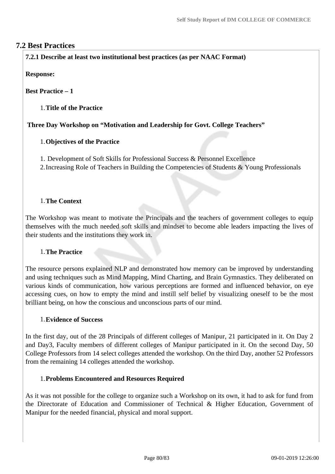## **7.2 Best Practices**

**7.2.1 Describe at least two institutional best practices (as per NAAC Format)**

**Response:** 

**Best Practice – 1**

1.**Title of the Practice**

 **Three Day Workshop on "Motivation and Leadership for Govt. College Teachers"**

#### 1.**Objectives of the Practice**

- 1. Development of Soft Skills for Professional Success & Personnel Excellence
- 2.Increasing Role of Teachers in Building the Competencies of Students & Young Professionals

## 1.**The Context**

The Workshop was meant to motivate the Principals and the teachers of government colleges to equip themselves with the much needed soft skills and mindset to become able leaders impacting the lives of their students and the institutions they work in.

#### 1.**The Practice**

The resource persons explained NLP and demonstrated how memory can be improved by understanding and using techniques such as Mind Mapping, Mind Charting, and Brain Gymnastics. They deliberated on various kinds of communication, how various perceptions are formed and influenced behavior, on eye accessing cues, on how to empty the mind and instill self belief by visualizing oneself to be the most brilliant being, on how the conscious and unconscious parts of our mind.

#### 1.**Evidence of Success**

In the first day, out of the 28 Principals of different colleges of Manipur, 21 participated in it. On Day 2 and Day3, Faculty members of different colleges of Manipur participated in it. On the second Day, 50 College Professors from 14 select colleges attended the workshop. On the third Day, another 52 Professors from the remaining 14 colleges attended the workshop.

#### 1.**Problems Encountered and Resources Required**

As it was not possible for the college to organize such a Workshop on its own, it had to ask for fund from the Directorate of Education and Commissioner of Technical & Higher Education, Government of Manipur for the needed financial, physical and moral support.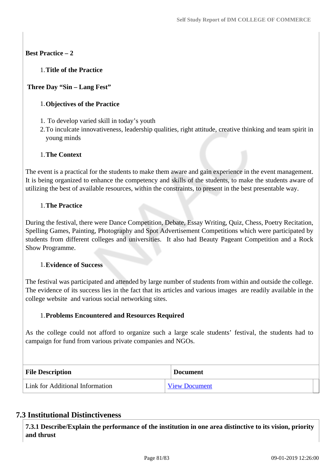## **Best Practice – 2**

## 1.**Title of the Practice**

## **Three Day "Sin – Lang Fest"**

## 1.**Objectives of the Practice**

- 1. To develop varied skill in today's youth
- 2.To inculcate innovativeness, leadership qualities, right attitude, creative thinking and team spirit in young minds

## 1.**The Context**

The event is a practical for the students to make them aware and gain experience in the event management. It is being organized to enhance the competency and skills of the students, to make the students aware of utilizing the best of available resources, within the constraints, to present in the best presentable way.

## 1.**The Practice**

During the festival, there were Dance Competition, Debate, Essay Writing, Quiz, Chess, Poetry Recitation, Spelling Games, Painting, Photography and Spot Advertisement Competitions which were participated by students from different colleges and universities. It also had Beauty Pageant Competition and a Rock Show Programme.

## 1.**Evidence of Success**

The festival was participated and attended by large number of students from within and outside the college. The evidence of its success lies in the fact that its articles and various images are readily available in the college website and various social networking sites.

## 1.**Problems Encountered and Resources Required**

As the college could not afford to organize such a large scale students' festival, the students had to campaign for fund from various private companies and NGOs.

| <b>File Description</b>                | <b>Document</b>      |
|----------------------------------------|----------------------|
| <b>Link for Additional Information</b> | <b>View Document</b> |

## **7.3 Institutional Distinctiveness**

 **7.3.1 Describe/Explain the performance of the institution in one area distinctive to its vision, priority and thrust**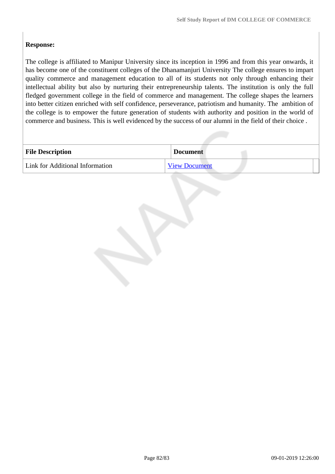## **Response:**

The college is affiliated to Manipur University since its inception in 1996 and from this year onwards, it has become one of the constituent colleges of the Dhanamanjuri University The college ensures to impart quality commerce and management education to all of its students not only through enhancing their intellectual ability but also by nurturing their entrepreneurship talents. The institution is only the full fledged government college in the field of commerce and management. The college shapes the learners into better citizen enriched with self confidence, perseverance, patriotism and humanity. The ambition of the college is to empower the future generation of students with authority and position in the world of commerce and business. This is well evidenced by the success of our alumni in the field of their choice .

| <b>File Description</b>         | <b>Document</b>      |
|---------------------------------|----------------------|
| Link for Additional Information | <b>View Document</b> |